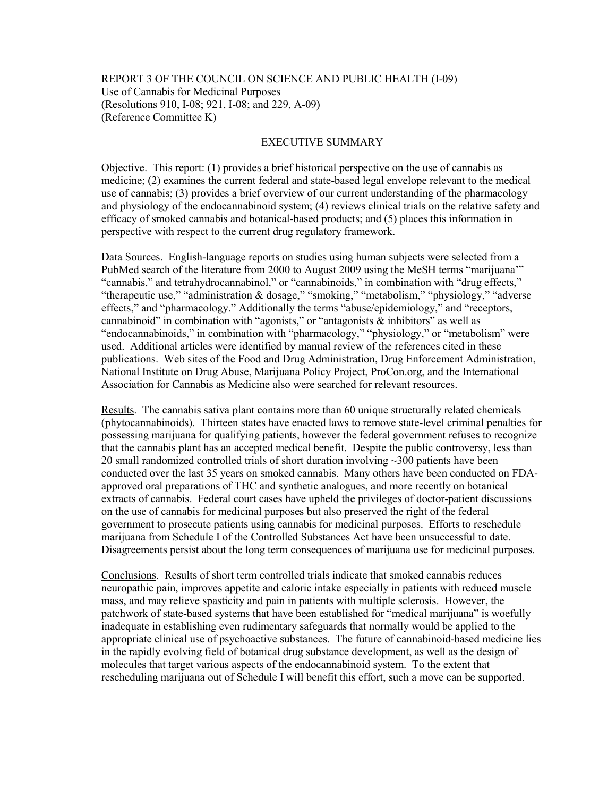## REPORT 3 OF THE COUNCIL ON SCIENCE AND PUBLIC HEALTH (I-09) Use of Cannabis for Medicinal Purposes (Resolutions 910, I-08; 921, I-08; and 229, A-09) (Reference Committee K)

## EXECUTIVE SUMMARY

Objective. This report: (1) provides a brief historical perspective on the use of cannabis as medicine; (2) examines the current federal and state-based legal envelope relevant to the medical use of cannabis; (3) provides a brief overview of our current understanding of the pharmacology and physiology of the endocannabinoid system; (4) reviews clinical trials on the relative safety and efficacy of smoked cannabis and botanical-based products; and (5) places this information in perspective with respect to the current drug regulatory framework.

Data Sources. English-language reports on studies using human subjects were selected from a PubMed search of the literature from 2000 to August 2009 using the MeSH terms "marijuana'" "cannabis," and tetrahydrocannabinol," or "cannabinoids," in combination with "drug effects," "therapeutic use," "administration & dosage," "smoking," "metabolism," "physiology," "adverse effects," and "pharmacology." Additionally the terms "abuse/epidemiology," and "receptors, cannabinoid" in combination with "agonists," or "antagonists  $\&$  inhibitors" as well as "endocannabinoids," in combination with "pharmacology," "physiology," or "metabolism" were used. Additional articles were identified by manual review of the references cited in these publications. Web sites of the Food and Drug Administration, Drug Enforcement Administration, National Institute on Drug Abuse, Marijuana Policy Project, ProCon.org, and the International Association for Cannabis as Medicine also were searched for relevant resources.

Results. The cannabis sativa plant contains more than 60 unique structurally related chemicals (phytocannabinoids). Thirteen states have enacted laws to remove state-level criminal penalties for possessing marijuana for qualifying patients, however the federal government refuses to recognize that the cannabis plant has an accepted medical benefit. Despite the public controversy, less than 20 small randomized controlled trials of short duration involving ~300 patients have been conducted over the last 35 years on smoked cannabis. Many others have been conducted on FDAapproved oral preparations of THC and synthetic analogues, and more recently on botanical extracts of cannabis. Federal court cases have upheld the privileges of doctor-patient discussions on the use of cannabis for medicinal purposes but also preserved the right of the federal government to prosecute patients using cannabis for medicinal purposes. Efforts to reschedule marijuana from Schedule I of the Controlled Substances Act have been unsuccessful to date. Disagreements persist about the long term consequences of marijuana use for medicinal purposes.

Conclusions. Results of short term controlled trials indicate that smoked cannabis reduces neuropathic pain, improves appetite and caloric intake especially in patients with reduced muscle mass, and may relieve spasticity and pain in patients with multiple sclerosis. However, the patchwork of state-based systems that have been established for "medical marijuana" is woefully inadequate in establishing even rudimentary safeguards that normally would be applied to the appropriate clinical use of psychoactive substances. The future of cannabinoid-based medicine lies in the rapidly evolving field of botanical drug substance development, as well as the design of molecules that target various aspects of the endocannabinoid system. To the extent that rescheduling marijuana out of Schedule I will benefit this effort, such a move can be supported.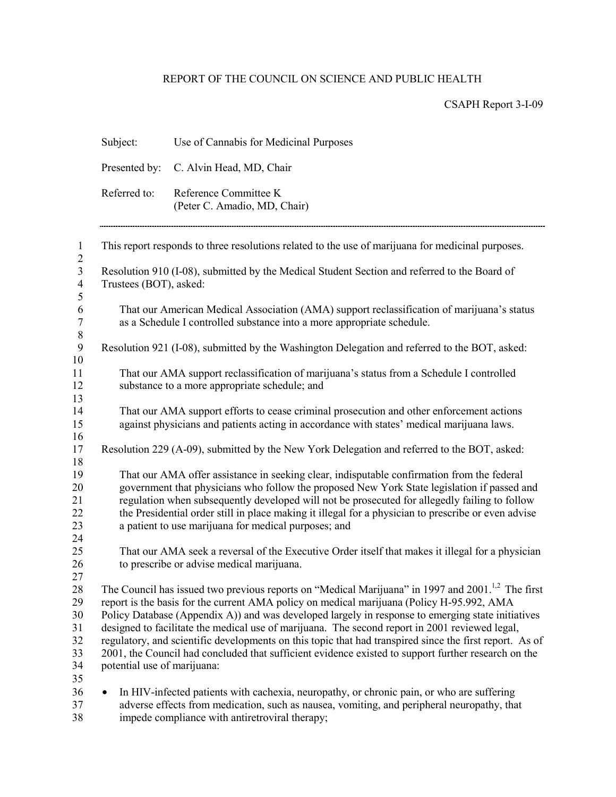# REPORT OF THE COUNCIL ON SCIENCE AND PUBLIC HEALTH

CSAPH Report 3-I-09

|                                                | Subject:                                                                                                                                                                                                                                                                                                                                                                                                                                                                                                                                                                                                                                                           | Use of Cannabis for Medicinal Purposes                                                                                                                                                                                                                                                                                                                                                                                                                    |  |  |  |  |
|------------------------------------------------|--------------------------------------------------------------------------------------------------------------------------------------------------------------------------------------------------------------------------------------------------------------------------------------------------------------------------------------------------------------------------------------------------------------------------------------------------------------------------------------------------------------------------------------------------------------------------------------------------------------------------------------------------------------------|-----------------------------------------------------------------------------------------------------------------------------------------------------------------------------------------------------------------------------------------------------------------------------------------------------------------------------------------------------------------------------------------------------------------------------------------------------------|--|--|--|--|
|                                                | Presented by:                                                                                                                                                                                                                                                                                                                                                                                                                                                                                                                                                                                                                                                      | C. Alvin Head, MD, Chair                                                                                                                                                                                                                                                                                                                                                                                                                                  |  |  |  |  |
|                                                | Referred to:                                                                                                                                                                                                                                                                                                                                                                                                                                                                                                                                                                                                                                                       | Reference Committee K<br>(Peter C. Amadio, MD, Chair)                                                                                                                                                                                                                                                                                                                                                                                                     |  |  |  |  |
| $\mathbf{1}$<br>$\overline{c}$                 | This report responds to three resolutions related to the use of marijuana for medicinal purposes.                                                                                                                                                                                                                                                                                                                                                                                                                                                                                                                                                                  |                                                                                                                                                                                                                                                                                                                                                                                                                                                           |  |  |  |  |
| $\overline{\mathbf{3}}$<br>$\overline{4}$<br>5 | Resolution 910 (I-08), submitted by the Medical Student Section and referred to the Board of<br>Trustees (BOT), asked:                                                                                                                                                                                                                                                                                                                                                                                                                                                                                                                                             |                                                                                                                                                                                                                                                                                                                                                                                                                                                           |  |  |  |  |
| 6<br>$\sqrt{ }$<br>$8\,$                       |                                                                                                                                                                                                                                                                                                                                                                                                                                                                                                                                                                                                                                                                    | That our American Medical Association (AMA) support reclassification of marijuana's status<br>as a Schedule I controlled substance into a more appropriate schedule.                                                                                                                                                                                                                                                                                      |  |  |  |  |
| $\boldsymbol{9}$                               |                                                                                                                                                                                                                                                                                                                                                                                                                                                                                                                                                                                                                                                                    | Resolution 921 (I-08), submitted by the Washington Delegation and referred to the BOT, asked:                                                                                                                                                                                                                                                                                                                                                             |  |  |  |  |
| 10<br>11<br>12<br>13                           | That our AMA support reclassification of marijuana's status from a Schedule I controlled<br>substance to a more appropriate schedule; and                                                                                                                                                                                                                                                                                                                                                                                                                                                                                                                          |                                                                                                                                                                                                                                                                                                                                                                                                                                                           |  |  |  |  |
| 14<br>15<br>16                                 |                                                                                                                                                                                                                                                                                                                                                                                                                                                                                                                                                                                                                                                                    | That our AMA support efforts to cease criminal prosecution and other enforcement actions<br>against physicians and patients acting in accordance with states' medical marijuana laws.                                                                                                                                                                                                                                                                     |  |  |  |  |
| 17                                             |                                                                                                                                                                                                                                                                                                                                                                                                                                                                                                                                                                                                                                                                    | Resolution 229 (A-09), submitted by the New York Delegation and referred to the BOT, asked:                                                                                                                                                                                                                                                                                                                                                               |  |  |  |  |
| 18<br>19<br>20<br>21<br>22<br>23<br>24         |                                                                                                                                                                                                                                                                                                                                                                                                                                                                                                                                                                                                                                                                    | That our AMA offer assistance in seeking clear, indisputable confirmation from the federal<br>government that physicians who follow the proposed New York State legislation if passed and<br>regulation when subsequently developed will not be prosecuted for allegedly failing to follow<br>the Presidential order still in place making it illegal for a physician to prescribe or even advise<br>a patient to use marijuana for medical purposes; and |  |  |  |  |
| 25<br>26<br>27                                 |                                                                                                                                                                                                                                                                                                                                                                                                                                                                                                                                                                                                                                                                    | That our AMA seek a reversal of the Executive Order itself that makes it illegal for a physician<br>to prescribe or advise medical marijuana.                                                                                                                                                                                                                                                                                                             |  |  |  |  |
| 28<br>29<br>30<br>31<br>32<br>33<br>34<br>35   | The Council has issued two previous reports on "Medical Marijuana" in 1997 and 2001. <sup>1,2</sup> The first<br>report is the basis for the current AMA policy on medical marijuana (Policy H-95.992, AMA<br>Policy Database (Appendix A)) and was developed largely in response to emerging state initiatives<br>designed to facilitate the medical use of marijuana. The second report in 2001 reviewed legal,<br>regulatory, and scientific developments on this topic that had transpired since the first report. As of<br>2001, the Council had concluded that sufficient evidence existed to support further research on the<br>potential use of marijuana: |                                                                                                                                                                                                                                                                                                                                                                                                                                                           |  |  |  |  |
| 36<br>$37\,$<br>20                             |                                                                                                                                                                                                                                                                                                                                                                                                                                                                                                                                                                                                                                                                    | In HIV-infected patients with cachexia, neuropathy, or chronic pain, or who are suffering<br>adverse effects from medication, such as nausea, vomiting, and peripheral neuropathy, that                                                                                                                                                                                                                                                                   |  |  |  |  |

38 impede compliance with antiretroviral therapy;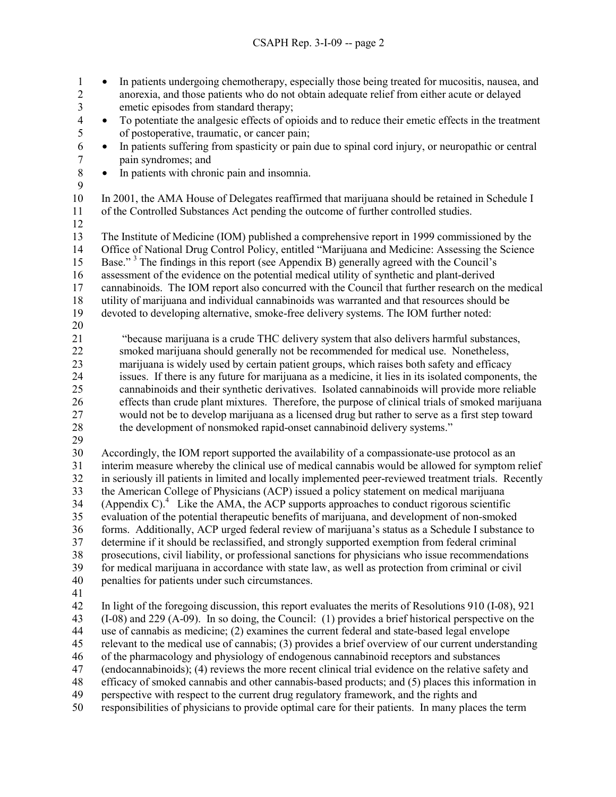1 • In patients undergoing chemotherapy, especially those being treated for mucositis, nausea, and 2 anorexia, and those patients who do not obtain adequate relief from either acute or delayed<br>3 emetic episodes from standard therapy; emetic episodes from standard therapy; 4 • To potentiate the analgesic effects of opioids and to reduce their emetic effects in the treatment

- 5 of postoperative, traumatic, or cancer pain;<br>6 In patients suffering from spasticity or pain 6 • In patients suffering from spasticity or pain due to spinal cord injury, or neuropathic or central 7 pain syndromes; and<br>8 • In patients with chron
	- In patients with chronic pain and insomnia.
- 9
- 10 In 2001, the AMA House of Delegates reaffirmed that marijuana should be retained in Schedule I 11 of the Controlled Substances Act pending the outcome of further controlled studies.
- 12

13 The Institute of Medicine (IOM) published a comprehensive report in 1999 commissioned by the<br>14 Office of National Drug Control Policy, entitled "Marijuana and Medicine: Assessing the Science 14 Office of National Drug Control Policy, entitled "Marijuana and Medicine: Assessing the Science 15 Base."<sup>3</sup> The findings in this report (see Appendix B) generally agreed with the Council's 16 assessment of the evidence on the potential medical utility of synthetic and plant-derived 17 cannabinoids. The IOM report also concurred with the Council that further research on the medical 18 utility of marijuana and individual cannabinoids was warranted and that resources should be 19 devoted to developing alternative, smoke-free delivery systems. The IOM further noted:

20

21 "because marijuana is a crude THC delivery system that also delivers harmful substances, 22 smoked marijuana should generally not be recommended for medical use. Nonetheless, 23 marijuana is widely used by certain patient groups, which raises both safety and efficacy<br>24 issues. If there is any future for marijuana as a medicine, it lies in its isolated components issues. If there is any future for marijuana as a medicine, it lies in its isolated components, the 25 cannabinoids and their synthetic derivatives. Isolated cannabinoids will provide more reliable 26 effects than crude plant mixtures. Therefore, the purpose of clinical trials of smoked marijuana 27 would not be to develop marijuana as a licensed drug but rather to serve as a first step toward 28 the development of nonsmoked rapid-onset cannabinoid delivery systems."

- 
- 29

30 Accordingly, the IOM report supported the availability of a compassionate-use protocol as an 31 interim measure whereby the clinical use of medical cannabis would be allowed for symptom relief 32 in seriously ill patients in limited and locally implemented peer-reviewed treatment trials. Recently 33 the American College of Physicians (ACP) issued a policy statement on medical marijuana  $34$  (Appendix C).<sup>4</sup> Like the AMA, the ACP supports approaches to conduct rigorous scientific 35 evaluation of the potential therapeutic benefits of marijuana, and development of non-smoked 36 forms. Additionally, ACP urged federal review of marijuana's status as a Schedule I substance to 37 determine if it should be reclassified, and strongly supported exemption from federal criminal 38 prosecutions, civil liability, or professional sanctions for physicians who issue recommendations 39 for medical marijuana in accordance with state law, as well as protection from criminal or civil 40 penalties for patients under such circumstances.

41

42 In light of the foregoing discussion, this report evaluates the merits of Resolutions 910 (I-08), 921 43 (I-08) and 229 (A-09). In so doing, the Council: (1) provides a brief historical perspective on the 44 use of cannabis as medicine; (2) examines the current federal and state-based legal envelope 45 relevant to the medical use of cannabis; (3) provides a brief overview of our current understanding 46 of the pharmacology and physiology of endogenous cannabinoid receptors and substances 47 (endocannabinoids); (4) reviews the more recent clinical trial evidence on the relative safety and 48 efficacy of smoked cannabis and other cannabis-based products; and (5) places this information in 49 perspective with respect to the current drug regulatory framework, and the rights and 50 responsibilities of physicians to provide optimal care for their patients. In many places the term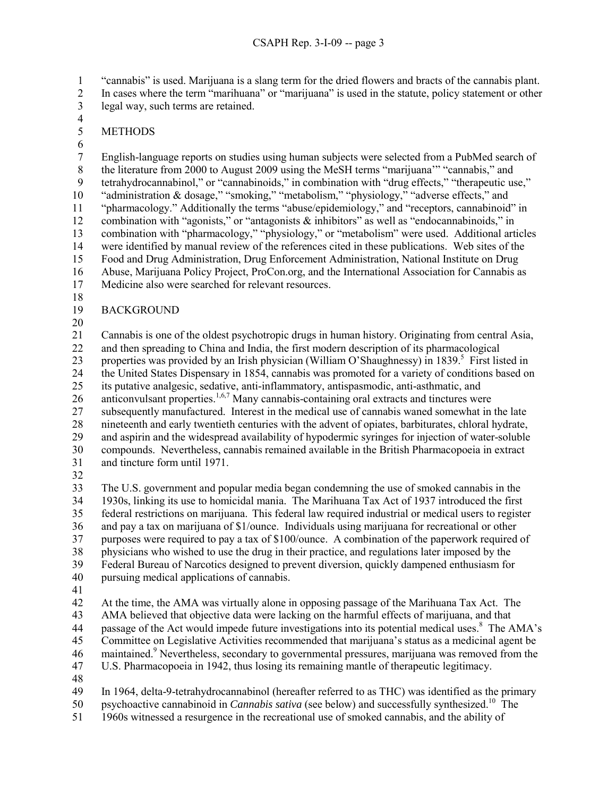1 "cannabis" is used. Marijuana is a slang term for the dried flowers and bracts of the cannabis plant.

2 In cases where the term "marihuana" or "marijuana" is used in the statute, policy statement or other 3 legal way, such terms are retained. 4

- 5 METHODS
- $\frac{6}{7}$

7 English-language reports on studies using human subjects were selected from a PubMed search of 8 the literature from 2000 to August 2009 using the MeSH terms "marijuana" "cannabis," and 9 tetrahydrocannabinol," or "cannabinoids," in combination with "drug effects," "therapeutic use," 10 "administration & dosage," "smoking," "metabolism," "physiology," "adverse effects," and 11 "pharmacology." Additionally the terms "abuse/epidemiology," and "receptors, cannabinoid" in 12 combination with "agonists," or "antagonists & inhibitors" as well as "endocannabinoids," in 13 combination with "pharmacology," "physiology," or "metabolism" were used. Additional articles 14 were identified by manual review of the references cited in these publications. Web sites of the 15 Food and Drug Administration, Drug Enforcement Administration, National Institute on Drug 16 Abuse, Marijuana Policy Project, ProCon.org, and the International Association for Cannabis as 17 Medicine also were searched for relevant resources.

18

# 19 BACKGROUND

20

21 Cannabis is one of the oldest psychotropic drugs in human history. Originating from central Asia, 22 and then spreading to China and India, the first modern description of its pharmacological 23 properties was provided by an Irish physician (William O'Shaughnessy) in 1839.<sup>5</sup> First listed in 24 the United States Dispensary in 1854, cannabis was promoted for a variety of conditions based on 25 its putative analgesic, sedative, anti-inflammatory, antispasmodic, anti-asthmatic, and 26 anticonvulsant properties.<sup>1,6,7</sup> Many cannabis-containing oral extracts and tinctures were 27 subsequently manufactured. Interest in the medical use of cannabis waned somewhat in the late 28 nineteenth and early twentieth centuries with the advent of opiates, barbiturates, chloral hydrate, 29 and aspirin and the widespread availability of hypodermic syringes for injection of water-soluble 30 compounds. Nevertheless, cannabis remained available in the British Pharmacopoeia in extract 31 and tincture form until 1971.

32

33 The U.S. government and popular media began condemning the use of smoked cannabis in the 34 1930s, linking its use to homicidal mania. The Marihuana Tax Act of 1937 introduced the first 35 federal restrictions on marijuana. This federal law required industrial or medical users to register 36 and pay a tax on marijuana of \$1/ounce. Individuals using marijuana for recreational or other 37 purposes were required to pay a tax of \$100/ounce. A combination of the paperwork required of 38 physicians who wished to use the drug in their practice, and regulations later imposed by the 39 Federal Bureau of Narcotics designed to prevent diversion, quickly dampened enthusiasm for 40 pursuing medical applications of cannabis.

41

42 At the time, the AMA was virtually alone in opposing passage of the Marihuana Tax Act. The 43 AMA believed that objective data were lacking on the harmful effects of marijuana, and that 44 passage of the Act would impede future investigations into its potential medical uses.<sup>8</sup> The AMA's 45 Committee on Legislative Activities recommended that marijuana's status as a medicinal agent be 46 maintained.<sup>9</sup> Nevertheless, secondary to governmental pressures, marijuana was removed from the 47 U.S. Pharmacopoeia in 1942, thus losing its remaining mantle of therapeutic legitimacy. 48

49 In 1964, delta-9-tetrahydrocannabinol (hereafter referred to as THC) was identified as the primary

psychoactive cannabinoid in *Cannabis sativa* (see below) and successfully synthesized.10 50 The

51 1960s witnessed a resurgence in the recreational use of smoked cannabis, and the ability of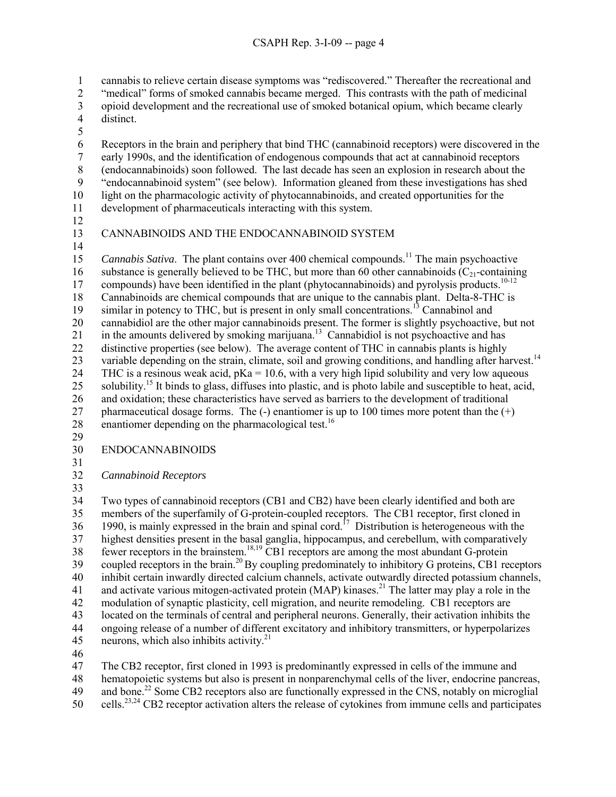1 cannabis to relieve certain disease symptoms was "rediscovered." Thereafter the recreational and

2 "medical" forms of smoked cannabis became merged. This contrasts with the path of medicinal

- 3 opioid development and the recreational use of smoked botanical opium, which became clearly distinct. distinct.
- 5

6 Receptors in the brain and periphery that bind THC (cannabinoid receptors) were discovered in the early 1990s, and the identification of endogenous compounds that act at cannabinoid receptors 7 early 1990s, and the identification of endogenous compounds that act at cannabinoid receptors 8 (endocannabinoids) soon followed. The last decade has seen an explosion in research about the 9 "endocannabinoid system" (see below). Information gleaned from these investigations has shed 10 light on the pharmacologic activity of phytocannabinoids, and created opportunities for the 11 development of pharmaceuticals interacting with this system.

- 12
- 14

# 13 CANNABINOIDS AND THE ENDOCANNABINOID SYSTEM

- 15 Cannabis Sativa. The plant contains over 400 chemical compounds.<sup>11</sup> The main psychoactive 16 substance is generally believed to be THC, but more than 60 other cannabinoids  $(C<sub>21</sub>$ -containing 17 compounds) have been identified in the plant (phytocannabinoids) and pyrolysis products.<sup>10-12</sup> 18 Cannabinoids are chemical compounds that are unique to the cannabis plant. Delta-8-THC is  $19$  similar in potency to THC, but is present in only small concentrations.<sup>13</sup> Cannabinol and 20 cannabidiol are the other major cannabinoids present. The former is slightly psychoactive, but not 21 In the amounts delivered by smoking marijuana.<sup>13</sup> Cannabidiol is not psychoactive and has 22 distinctive properties (see below). The average content of THC in cannabis plants is highly 23 variable depending on the strain, climate, soil and growing conditions, and handling after harvest.<sup>14</sup> 24 THC is a resinous weak acid,  $pKa = 10.6$ , with a very high lipid solubility and very low aqueous 25 solubility.<sup>15</sup> It binds to glass, diffuses into plastic, and is photo labile and susceptible to heat, acid, 26 and oxidation; these characteristics have served as barriers to the development of traditional 27 pharmaceutical dosage forms. The  $(-)$  enantiomer is up to 100 times more potent than the  $(+)$ 28 enantiomer depending on the pharmacological test.<sup>16</sup>
- 29

# 30 ENDOCANNABINOIDS

31

32 *Cannabinoid Receptors* 

33

34 Two types of cannabinoid receptors (CB1 and CB2) have been clearly identified and both are 35 members of the superfamily of G-protein-coupled receptors. The CB1 receptor, first cloned in 1990, is mainly expressed in the brain and spinal cord.<sup>17</sup> Distribution is heterogeneous with the 37 highest densities present in the basal ganglia, hippocampus, and cerebellum, with comparatively  $f$  fewer receptors in the brainstem.<sup>18,19</sup> CB1 receptors are among the most abundant G-protein 39 coupled receptors in the brain.<sup>20</sup> By coupling predominately to inhibitory G proteins, CB1 receptors 40 inhibit certain inwardly directed calcium channels, activate outwardly directed potassium channels, 41 and activate various mitogen-activated protein (MAP) kinases.<sup>21</sup> The latter may play a role in the 42 modulation of synaptic plasticity, cell migration, and neurite remodeling. CB1 receptors are 43 located on the terminals of central and peripheral neurons. Generally, their activation inhibits the 44 ongoing release of a number of different excitatory and inhibitory transmitters, or hyperpolarizes 45 neurons, which also inhibits activity. $21$ 

46

47 The CB2 receptor, first cloned in 1993 is predominantly expressed in cells of the immune and

48 hematopoietic systems but also is present in nonparenchymal cells of the liver, endocrine pancreas,

49 and bone.<sup>22</sup> Some CB2 receptors also are functionally expressed in the CNS, notably on microglial

 $50$  cells.<sup>23,24</sup> CB2 receptor activation alters the release of cytokines from immune cells and participates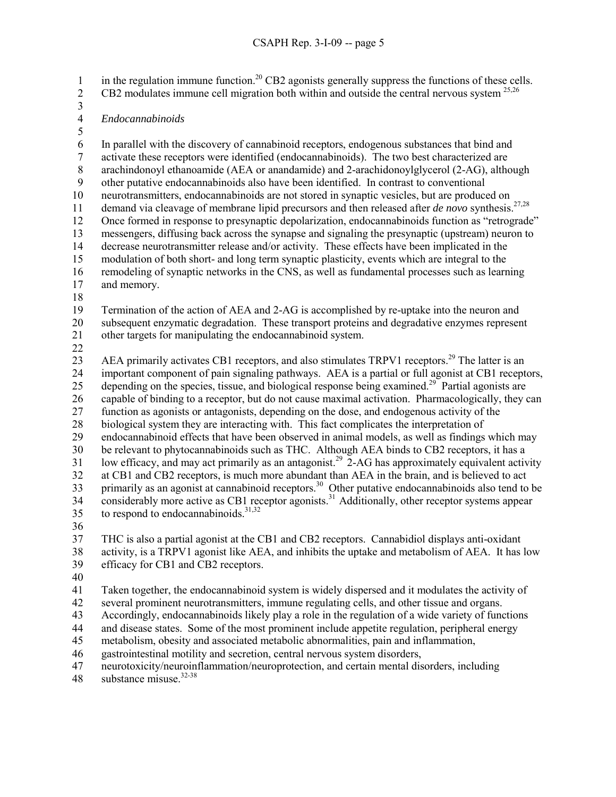in the regulation immune function.<sup>20</sup> CB2 agonists generally suppress the functions of these cells. CB2 modulates immune cell migration both within and outside the central nervous system  $^{25,26}$ 

- $\frac{3}{4}$
- 4 *Endocannabinoids*
- 

5<br>6 6 In parallel with the discovery of cannabinoid receptors, endogenous substances that bind and activate these receptors were identified (endocannabinoids). The two best characterized are 7 activate these receptors were identified (endocannabinoids). The two best characterized are 8 arachindonoyl ethanoamide (AEA or anandamide) and 2-arachidonoylglycerol (2-AG), although 9 other putative endocannabinoids also have been identified. In contrast to conventional 10 neurotransmitters, endocannabinoids are not stored in synaptic vesicles, but are produced on demand via cleavage of membrane lipid precursors and then released after *de novo* synthesis.<sup>27,28</sup> 12 Once formed in response to presynaptic depolarization, endocannabinoids function as "retrograde" 13 messengers, diffusing back across the synapse and signaling the presynaptic (upstream) neuron to 14 decrease neurotransmitter release and/or activity. These effects have been implicated in the 15 modulation of both short- and long term synaptic plasticity, events which are integral to the 16 remodeling of synaptic networks in the CNS, as well as fundamental processes such as learning 17 and memory. 18 19 Termination of the action of AEA and 2-AG is accomplished by re-uptake into the neuron and

20 subsequent enzymatic degradation. These transport proteins and degradative enzymes represent 21 other targets for manipulating the endocannabinoid system.

22

23 AEA primarily activates CB1 receptors, and also stimulates TRPV1 receptors.<sup>29</sup> The latter is an 24 important component of pain signaling pathways. AEA is a partial or full agonist at CB1 receptors, 25 depending on the species, tissue, and biological response being examined.<sup>29</sup> Partial agonists are 26 capable of binding to a receptor, but do not cause maximal activation. Pharmacologically, they can 27 function as agonists or antagonists, depending on the dose, and endogenous activity of the 28 biological system they are interacting with. This fact complicates the interpretation of 29 endocannabinoid effects that have been observed in animal models, as well as findings which may 30 be relevant to phytocannabinoids such as THC. Although AEA binds to CB2 receptors, it has a  $\frac{1}{2}$  low efficacy, and may act primarily as an antagonist.<sup>29</sup> 2-AG has approximately equivalent activity 32 at CB1 and CB2 receptors, is much more abundant than AEA in the brain, and is believed to act  $33$  primarily as an agonist at cannabinoid receptors.<sup>30</sup> Other putative endocannabinoids also tend to be 34 considerably more active as CB1 receptor agonists.<sup>31</sup> Additionally, other receptor systems appear 35 to respond to endocannabinoids.  $31,32$ 

36

37 THC is also a partial agonist at the CB1 and CB2 receptors. Cannabidiol displays anti-oxidant 38 activity, is a TRPV1 agonist like AEA, and inhibits the uptake and metabolism of AEA. It has low 39 efficacy for CB1 and CB2 receptors.

40

41 Taken together, the endocannabinoid system is widely dispersed and it modulates the activity of

42 several prominent neurotransmitters, immune regulating cells, and other tissue and organs.

43 Accordingly, endocannabinoids likely play a role in the regulation of a wide variety of functions

44 and disease states. Some of the most prominent include appetite regulation, peripheral energy

45 metabolism, obesity and associated metabolic abnormalities, pain and inflammation,

46 gastrointestinal motility and secretion, central nervous system disorders,

47 neurotoxicity/neuroinflammation/neuroprotection, and certain mental disorders, including

48 substance misuse. $32-38$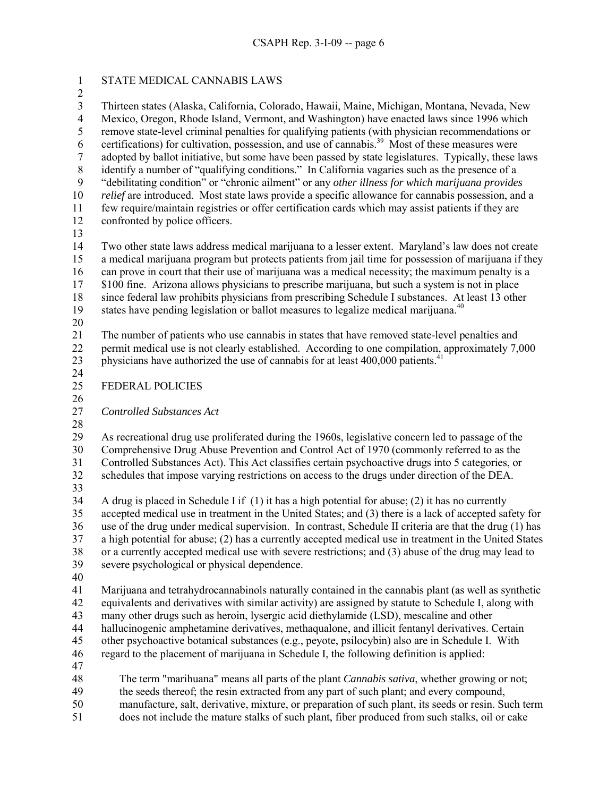1 STATE MEDICAL CANNABIS LAWS 2 3 Thirteen states (Alaska, California, Colorado, Hawaii, Maine, Michigan, Montana, Nevada, New 4 Mexico, Oregon, Rhode Island, Vermont, and Washington) have enacted laws since 1996 which 5 remove state-level criminal penalties for qualifying patients (with physician recommendations or certifications) for cultivation, possession, and use of cannabis.<sup>39</sup> Most of these measures were certifications) for cultivation, possession, and use of cannabis.<sup>39</sup> Most of these measures were 7 adopted by ballot initiative, but some have been passed by state legislatures. Typically, these laws 8 identify a number of "qualifying conditions." In California vagaries such as the presence of a 9 "debilitating condition" or "chronic ailment" or any *other illness for which marijuana provides*  10 *relief* are introduced.Most state laws provide a specific allowance for cannabis possession, and a 11 few require/maintain registries or offer certification cards which may assist patients if they are 12 confronted by police officers. 13 14 Two other state laws address medical marijuana to a lesser extent. Maryland's law does not create 15 a medical marijuana program but protects patients from jail time for possession of marijuana if they 16 can prove in court that their use of marijuana was a medical necessity; the maximum penalty is a 17 \$100 fine. Arizona allows physicians to prescribe marijuana, but such a system is not in place 18 since federal law prohibits physicians from prescribing Schedule I substances. At least 13 other 19 states have pending legislation or ballot measures to legalize medical marijuana. $40$ 20 21 The number of patients who use cannabis in states that have removed state-level penalties and 22 permit medical use is not clearly established. According to one compilation, approximately 7,000 23 physicians have authorized the use of cannabis for at least  $400,000$  patients.<sup>41</sup> 24 25 FEDERAL POLICIES 26 27 *Controlled Substances Act* 28 29 As recreational drug use proliferated during the 1960s, legislative concern led to passage of the 30 Comprehensive Drug Abuse Prevention and Control Act of 1970 (commonly referred to as the 31 Controlled Substances Act). This Act classifies certain psychoactive drugs into 5 categories, or 32 schedules that impose varying restrictions on access to the drugs under direction of the DEA. 33 34 A drug is placed in Schedule I if (1) it has a high potential for abuse; (2) it has no currently 35 accepted medical use in treatment in the United States; and (3) there is a lack of accepted safety for 36 use of the drug under medical supervision. In contrast, Schedule II criteria are that the drug (1) has 37 a high potential for abuse; (2) has a currently accepted medical use in treatment in the United States 38 or a currently accepted medical use with severe restrictions; and (3) abuse of the drug may lead to 39 severe psychological or physical dependence. 40 41 Marijuana and tetrahydrocannabinols naturally contained in the cannabis plant (as well as synthetic 42 equivalents and derivatives with similar activity) are assigned by statute to Schedule I, along with 43 many other drugs such as heroin, lysergic acid diethylamide (LSD), mescaline and other 44 hallucinogenic amphetamine derivatives, methaqualone, and illicit fentanyl derivatives. Certain 45 other psychoactive botanical substances (e.g., peyote, psilocybin) also are in Schedule I. With 46 regard to the placement of marijuana in Schedule I, the following definition is applied: 47 48 The term "marihuana" means all parts of the plant *Cannabis sativa*, whether growing or not; 49 the seeds thereof; the resin extracted from any part of such plant; and every compound, 50 manufacture, salt, derivative, mixture, or preparation of such plant, its seeds or resin. Such term 51 does not include the mature stalks of such plant, fiber produced from such stalks, oil or cake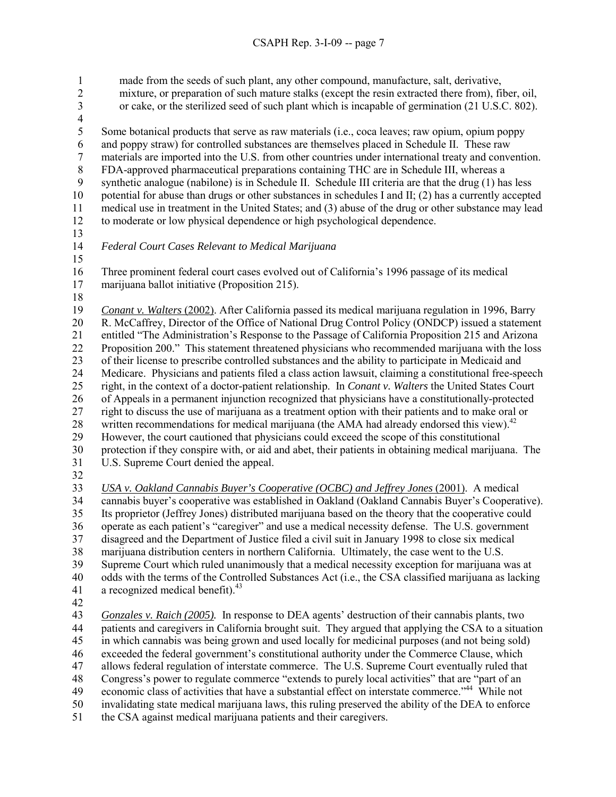1 made from the seeds of such plant, any other compound, manufacture, salt, derivative, 2 mixture, or preparation of such mature stalks (except the resin extracted there from), fiber, oil,<br>3 or cake, or the sterilized seed of such plant which is incapable of germination (21 U.S.C. 802). 3 or cake, or the sterilized seed of such plant which is incapable of germination (21 U.S.C. 802). 4 5 Some botanical products that serve as raw materials (i.e., coca leaves; raw opium, opium poppy and poppy straw) for controlled substances are themselves placed in Schedule II. These raw 6 and poppy straw) for controlled substances are themselves placed in Schedule II. These raw<br>
7 materials are imported into the U.S. from other countries under international treaty and conve materials are imported into the U.S. from other countries under international treaty and convention. 8 FDA-approved pharmaceutical preparations containing THC are in Schedule III, whereas a 9 synthetic analogue (nabilone) is in Schedule II. Schedule III criteria are that the drug (1) has less 10 potential for abuse than drugs or other substances in schedules I and II; (2) has a currently accepted 11 medical use in treatment in the United States; and (3) abuse of the drug or other substance may lead 12 to moderate or low physical dependence or high psychological dependence. 13 14 *Federal Court Cases Relevant to Medical Marijuana*  15 16 Three prominent federal court cases evolved out of California's 1996 passage of its medical 17 marijuana ballot initiative (Proposition 215). 18 19 *Conant v. Walters* (2002). After California passed its medical marijuana regulation in 1996, Barry

20 R. McCaffrey, Director of the Office of National Drug Control Policy (ONDCP) issued a statement 21 entitled "The Administration's Response to the Passage of California Proposition 215 and Arizona 22 Proposition 200." This statement threatened physicians who recommended marijuana with the loss 23 of their license to prescribe controlled substances and the ability to participate in Medicaid and 24 Medicare. Physicians and patients filed a class action lawsuit, claiming a constitutional free-speech 25 right, in the context of a doctor-patient relationship. In *Conant v. Walters* the United States Court 26 of Appeals in a permanent injunction recognized that physicians have a constitutionally-protected 27 right to discuss the use of marijuana as a treatment option with their patients and to make oral or 28 written recommendations for medical marijuana (the AMA had already endorsed this view).<sup>42</sup> 29 However, the court cautioned that physicians could exceed the scope of this constitutional 30 protection if they conspire with, or aid and abet, their patients in obtaining medical marijuana. The 31 U.S. Supreme Court denied the appeal.

32

33 *USA v. Oakland Cannabis Buyer's Cooperative (OCBC) and Jeffrey Jones* (2001). A medical 34 cannabis buyer's cooperative was established in Oakland (Oakland Cannabis Buyer's Cooperative). 35 Its proprietor (Jeffrey Jones) distributed marijuana based on the theory that the cooperative could 36 operate as each patient's "caregiver" and use a medical necessity defense. The U.S. government 37 disagreed and the Department of Justice filed a civil suit in January 1998 to close six medical 38 marijuana distribution centers in northern California. Ultimately, the case went to the U.S. 39 Supreme Court which ruled unanimously that a medical necessity exception for marijuana was at 40 odds with the terms of the Controlled Substances Act (i.e., the CSA classified marijuana as lacking 41  $\alpha$  recognized medical benefit).<sup>43</sup>

42

43 *Gonzales v. Raich (2005).* In response to DEA agents' destruction of their cannabis plants, two 44 patients and caregivers in California brought suit. They argued that applying the CSA to a situation 45 in which cannabis was being grown and used locally for medicinal purposes (and not being sold) 46 exceeded the federal government's constitutional authority under the Commerce Clause, which 47 allows federal regulation of interstate commerce. The U.S. Supreme Court eventually ruled that 48 Congress's power to regulate commerce "extends to purely local activities" that are "part of an 49 economic class of activities that have a substantial effect on interstate commerce."<sup>44</sup> While not 50 invalidating state medical marijuana laws, this ruling preserved the ability of the DEA to enforce 51 the CSA against medical marijuana patients and their caregivers.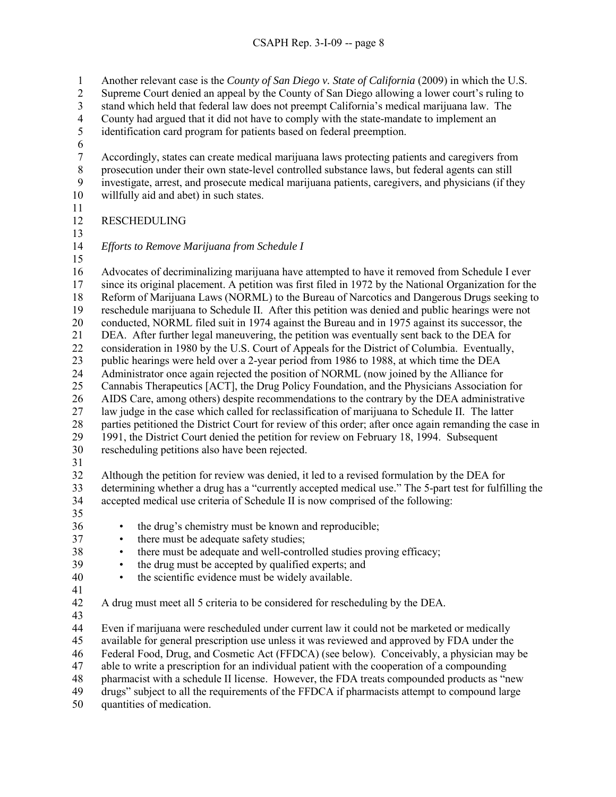1 Another relevant case is the *County of San Diego v. State of California* (2009) in which the U.S.

2 Supreme Court denied an appeal by the County of San Diego allowing a lower court's ruling to

3 stand which held that federal law does not preempt California's medical marijuana law. The

4 County had argued that it did not have to comply with the state-mandate to implement an

5 identification card program for patients based on federal preemption.

6<br>7

7 Accordingly, states can create medical marijuana laws protecting patients and caregivers from 8 prosecution under their own state-level controlled substance laws, but federal agents can still 9 investigate, arrest, and prosecute medical marijuana patients, caregivers, and physicians (if they 10 willfully aid and abet) in such states.

11

# 12 RESCHEDULING

13

14 *Efforts to Remove Marijuana from Schedule I* 

15

16 Advocates of decriminalizing marijuana have attempted to have it removed from Schedule I ever 17 since its original placement. A petition was first filed in 1972 by the National Organization for the 18 Reform of Marijuana Laws (NORML) to the Bureau of Narcotics and Dangerous Drugs seeking to 19 reschedule marijuana to Schedule II. After this petition was denied and public hearings were not 20 conducted, NORML filed suit in 1974 against the Bureau and in 1975 against its successor, the 21 DEA. After further legal maneuvering, the petition was eventually sent back to the DEA for 22 consideration in 1980 by the U.S. Court of Appeals for the District of Columbia. Eventually, 23 public hearings were held over a 2-year period from 1986 to 1988, at which time the DEA 24 Administrator once again rejected the position of NORML (now joined by the Alliance for 25 Cannabis Therapeutics [ACT], the Drug Policy Foundation, and the Physicians Association for 26 AIDS Care, among others) despite recommendations to the contrary by the DEA administrative 27 law judge in the case which called for reclassification of marijuana to Schedule II. The latter 28 parties petitioned the District Court for review of this order; after once again remanding the case in 29 1991, the District Court denied the petition for review on February 18, 1994. Subsequent 30 rescheduling petitions also have been rejected.

31

32 Although the petition for review was denied, it led to a revised formulation by the DEA for 33 determining whether a drug has a "currently accepted medical use." The 5-part test for fulfilling the 34 accepted medical use criteria of Schedule II is now comprised of the following:

35

36 • the drug's chemistry must be known and reproducible;

- 37 there must be adequate safety studies;
- 38 there must be adequate and well-controlled studies proving efficacy;
- 39 the drug must be accepted by qualified experts; and
- 40 the scientific evidence must be widely available.
- 41

42 A drug must meet all 5 criteria to be considered for rescheduling by the DEA.

43

44 Even if marijuana were rescheduled under current law it could not be marketed or medically

45 available for general prescription use unless it was reviewed and approved by FDA under the

46 Federal Food, Drug, and Cosmetic Act (FFDCA) (see below). Conceivably, a physician may be

47 able to write a prescription for an individual patient with the cooperation of a compounding

48 pharmacist with a schedule II license. However, the FDA treats compounded products as "new

49 drugs" subject to all the requirements of the FFDCA if pharmacists attempt to compound large

50 quantities of medication.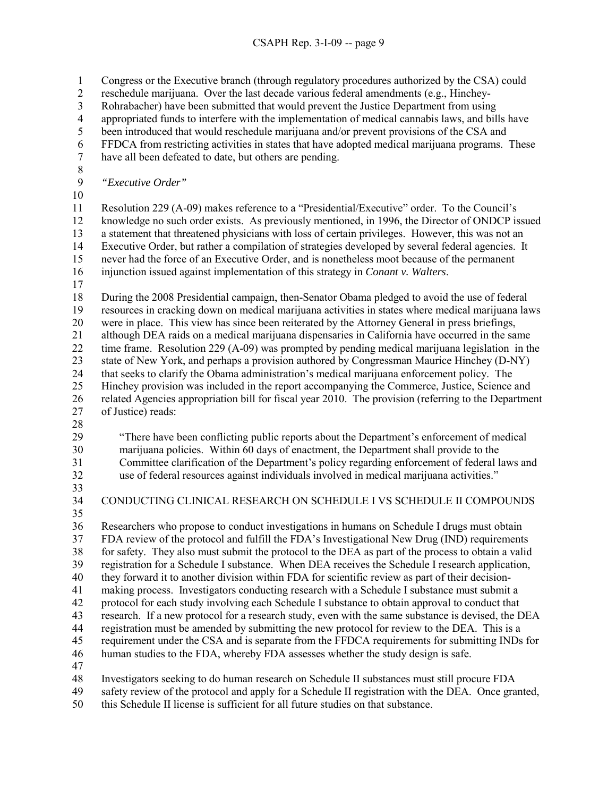1 Congress or the Executive branch (through regulatory procedures authorized by the CSA) could 2 reschedule marijuana. Over the last decade various federal amendments (e.g., Hinchey-3 Rohrabacher) have been submitted that would prevent the Justice Department from using 4 appropriated funds to interfere with the implementation of medical cannabis laws, and bills have 5 been introduced that would reschedule marijuana and/or prevent provisions of the CSA and 6 FFDCA from restricting activities in states that have adopted medical marijuana programs. These have all been defeated to date, but others are pending. 8 9 *"Executive Order"*  10 11 Resolution 229 (A-09) makes reference to a "Presidential/Executive" order. To the Council's 12 knowledge no such order exists. As previously mentioned, in 1996, the Director of ONDCP issued 13 a statement that threatened physicians with loss of certain privileges. However, this was not an 14 Executive Order, but rather a compilation of strategies developed by several federal agencies. It 15 never had the force of an Executive Order, and is nonetheless moot because of the permanent 16 injunction issued against implementation of this strategy in *Conant v. Walters*. 17 18 During the 2008 Presidential campaign, then-Senator Obama pledged to avoid the use of federal 19 resources in cracking down on medical marijuana activities in states where medical marijuana laws 20 were in place. This view has since been reiterated by the Attorney General in press briefings, 21 although DEA raids on a medical marijuana dispensaries in California have occurred in the same 22 time frame. Resolution 229 (A-09) was prompted by pending medical marijuana legislation in the 23 state of New York, and perhaps a provision authored by Congressman Maurice Hinchey (D-NY) 24 that seeks to clarify the Obama administration's medical marijuana enforcement policy. The 25 Hinchey provision was included in the report accompanying the Commerce, Justice, Science and 26 related Agencies appropriation bill for fiscal year 2010. The provision (referring to the Department 27 of Justice) reads: 28 29 "There have been conflicting public reports about the Department's enforcement of medical 30 marijuana policies. Within 60 days of enactment, the Department shall provide to the 31 Committee clarification of the Department's policy regarding enforcement of federal laws and 32 use of federal resources against individuals involved in medical marijuana activities." 33 34 CONDUCTING CLINICAL RESEARCH ON SCHEDULE I VS SCHEDULE II COMPOUNDS 35 36 Researchers who propose to conduct investigations in humans on Schedule I drugs must obtain 37 FDA review of the protocol and fulfill the FDA's Investigational New Drug (IND) requirements 38 for safety. They also must submit the protocol to the DEA as part of the process to obtain a valid 39 registration for a Schedule I substance. When DEA receives the Schedule I research application, 40 they forward it to another division within FDA for scientific review as part of their decision-41 making process. Investigators conducting research with a Schedule I substance must submit a 42 protocol for each study involving each Schedule I substance to obtain approval to conduct that 43 research. If a new protocol for a research study, even with the same substance is devised, the DEA 44 registration must be amended by submitting the new protocol for review to the DEA. This is a 45 requirement under the CSA and is separate from the FFDCA requirements for submitting INDs for 46 human studies to the FDA, whereby FDA assesses whether the study design is safe. 47 48 Investigators seeking to do human research on Schedule II substances must still procure FDA 49 safety review of the protocol and apply for a Schedule II registration with the DEA. Once granted, 50 this Schedule II license is sufficient for all future studies on that substance.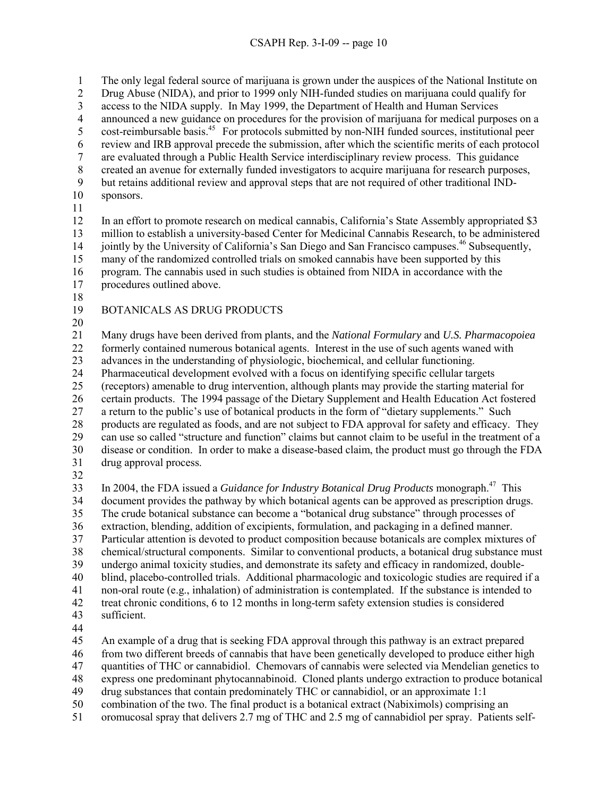## CSAPH Rep. 3-I-09 -- page 10

1 The only legal federal source of marijuana is grown under the auspices of the National Institute on 2 Drug Abuse (NIDA), and prior to 1999 only NIH-funded studies on marijuana could qualify for 3 access to the NIDA supply. In May 1999, the Department of Health and Human Services 4 announced a new guidance on procedures for the provision of marijuana for medical purposes on a cost-reimbursable basis.<sup>45</sup> For protocols submitted by non-NIH funded sources, institutional peer<br>for protocol protocol precede the submission, after which the scientific merits of each protocol review and IRB approval precede the submission, after which the scientific merits of each protocol 7 are evaluated through a Public Health Service interdisciplinary review process. This guidance 8 created an avenue for externally funded investigators to acquire marijuana for research purposes, 9 but retains additional review and approval steps that are not required of other traditional IND-10 sponsors. 11 12 In an effort to promote research on medical cannabis, California's State Assembly appropriated \$3 13 million to establish a university-based Center for Medicinal Cannabis Research, to be administered 14 jointly by the University of California's San Diego and San Francisco campuses.<sup>46</sup> Subsequently, 15 many of the randomized controlled trials on smoked cannabis have been supported by this 16 program. The cannabis used in such studies is obtained from NIDA in accordance with the 17 procedures outlined above. 18

- 19 BOTANICALS AS DRUG PRODUCTS
- 20

21 Many drugs have been derived from plants, and the *National Formulary* and *U.S. Pharmacopoiea* 22 formerly contained numerous botanical agents. Interest in the use of such agents waned with 23 advances in the understanding of physiologic, biochemical, and cellular functioning.

24 Pharmaceutical development evolved with a focus on identifying specific cellular targets

25 (receptors) amenable to drug intervention, although plants may provide the starting material for

26 certain products. The 1994 passage of the Dietary Supplement and Health Education Act fostered 27 a return to the public's use of botanical products in the form of "dietary supplements." Such 28 products are regulated as foods, and are not subject to FDA approval for safety and efficacy. They 29 can use so called "structure and function" claims but cannot claim to be useful in the treatment of a 30 disease or condition. In order to make a disease-based claim, the product must go through the FDA

- 31 drug approval process.
- 32

In 2004, the FDA issued a *Guidance for Industry Botanical Drug Products* monograph.47 33 This 34 document provides the pathway by which botanical agents can be approved as prescription drugs. 35 The crude botanical substance can become a "botanical drug substance" through processes of 36 extraction, blending, addition of excipients, formulation, and packaging in a defined manner. 37 Particular attention is devoted to product composition because botanicals are complex mixtures of 38 chemical/structural components. Similar to conventional products, a botanical drug substance must 39 undergo animal toxicity studies, and demonstrate its safety and efficacy in randomized, double-40 blind, placebo-controlled trials. Additional pharmacologic and toxicologic studies are required if a 41 non-oral route (e.g., inhalation) of administration is contemplated. If the substance is intended to 42 treat chronic conditions, 6 to 12 months in long-term safety extension studies is considered 43 sufficient.

44

45 An example of a drug that is seeking FDA approval through this pathway is an extract prepared

46 from two different breeds of cannabis that have been genetically developed to produce either high

47 quantities of THC or cannabidiol. Chemovars of cannabis were selected via Mendelian genetics to

48 express one predominant phytocannabinoid. Cloned plants undergo extraction to produce botanical

49 drug substances that contain predominately THC or cannabidiol, or an approximate 1:1

50 combination of the two. The final product is a botanical extract (Nabiximols) comprising an

51 oromucosal spray that delivers 2.7 mg of THC and 2.5 mg of cannabidiol per spray. Patients self-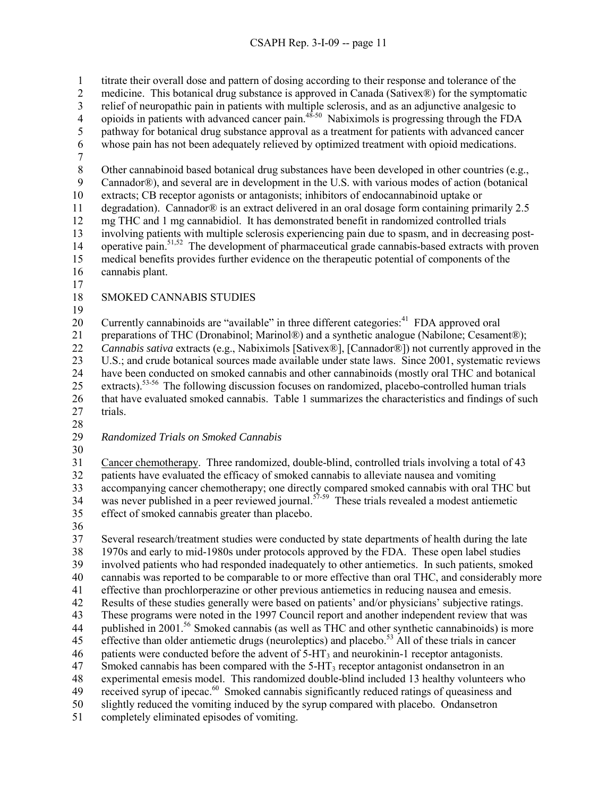1 titrate their overall dose and pattern of dosing according to their response and tolerance of the 2 medicine. This botanical drug substance is approved in Canada (Sativex®) for the symptomatic 3 relief of neuropathic pain in patients with multiple sclerosis, and as an adjunctive analgesic to 4 opioids in patients with advanced cancer pain.<sup>48-50</sup> Nabiximols is progressing through the FDA 5 pathway for botanical drug substance approval as a treatment for patients with advanced cancer<br>6 whose pain has not been adequately relieved by optimized treatment with opioid medications. whose pain has not been adequately relieved by optimized treatment with opioid medications. 7 8 Other cannabinoid based botanical drug substances have been developed in other countries (e.g., 9 Cannador®), and several are in development in the U.S. with various modes of action (botanical 10 extracts; CB receptor agonists or antagonists; inhibitors of endocannabinoid uptake or 11 degradation). Cannador® is an extract delivered in an oral dosage form containing primarily 2.5 12 mg THC and 1 mg cannabidiol. It has demonstrated benefit in randomized controlled trials 13 involving patients with multiple sclerosis experiencing pain due to spasm, and in decreasing post-14 operative pain.<sup>51,52</sup> The development of pharmaceutical grade cannabis-based extracts with proven 15 medical benefits provides further evidence on the therapeutic potential of components of the 16 cannabis plant. 17 18 SMOKED CANNABIS STUDIES 19 20 Currently cannabinoids are "available" in three different categories:  $41$  FDA approved oral 21 preparations of THC (Dronabinol; Marinol®) and a synthetic analogue (Nabilone; Cesament®); 22 *Cannabis sativa* extracts (e.g., Nabiximols [Sativex®], [Cannador®]) not currently approved in the 23 U.S.; and crude botanical sources made available under state laws. Since 2001, systematic reviews 24 have been conducted on smoked cannabis and other cannabinoids (mostly oral THC and botanical 25 extracts).<sup>53-56</sup> The following discussion focuses on randomized, placebo-controlled human trials 26 that have evaluated smoked cannabis. Table 1 summarizes the characteristics and findings of such 27 trials. 28 29 *Randomized Trials on Smoked Cannabis*  30 31 Cancer chemotherapy. Three randomized, double-blind, controlled trials involving a total of 43 32 patients have evaluated the efficacy of smoked cannabis to alleviate nausea and vomiting 33 accompanying cancer chemotherapy; one directly compared smoked cannabis with oral THC but was never published in a peer reviewed journal.<sup>57-59</sup> These trials revealed a modest antiemetic  $\frac{34}{2}$ 35 effect of smoked cannabis greater than placebo. 36 37 Several research/treatment studies were conducted by state departments of health during the late

38 1970s and early to mid-1980s under protocols approved by the FDA. These open label studies 39 involved patients who had responded inadequately to other antiemetics. In such patients, smoked 40 cannabis was reported to be comparable to or more effective than oral THC, and considerably more 41 effective than prochlorperazine or other previous antiemetics in reducing nausea and emesis. 42 Results of these studies generally were based on patients' and/or physicians' subjective ratings. 43 These programs were noted in the 1997 Council report and another independent review that was 44 published in 2001.<sup>56</sup> Smoked cannabis (as well as THC and other synthetic cannabinoids) is more 45 effective than older antiemetic drugs (neuroleptics) and placebo.<sup>53</sup> All of these trials in cancer 46 patients were conducted before the advent of  $5-\text{HT}_3$  and neurokinin-1 receptor antagonists.  $47$  Smoked cannabis has been compared with the 5-HT<sub>3</sub> receptor antagonist ondansetron in an 48 experimental emesis model. This randomized double-blind included 13 healthy volunteers who 49 received syrup of ipecac.<sup>60</sup> Smoked cannabis significantly reduced ratings of queasiness and 50 slightly reduced the vomiting induced by the syrup compared with placebo. Ondansetron 51 completely eliminated episodes of vomiting.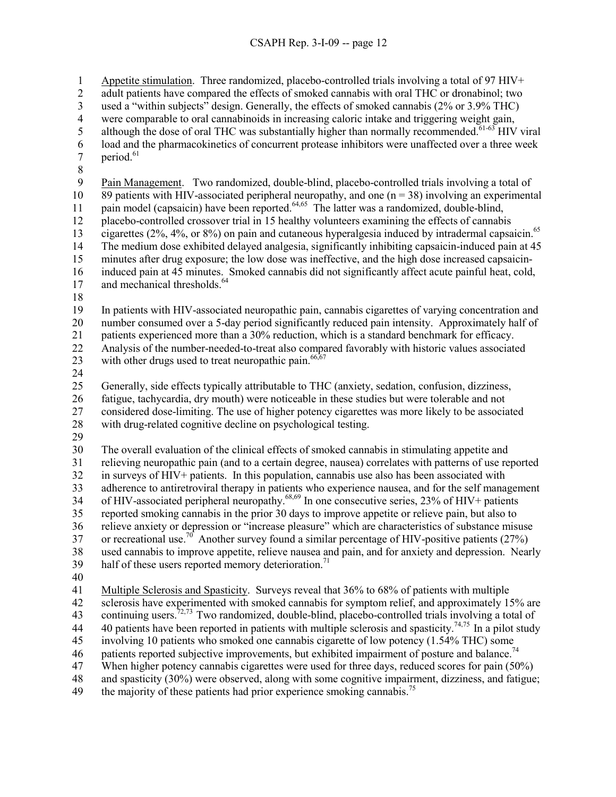## CSAPH Rep. 3-I-09 -- page 12

1 Appetite stimulation. Three randomized, placebo-controlled trials involving a total of 97 HIV+

2 adult patients have compared the effects of smoked cannabis with oral THC or dronabinol; two

3 used a "within subjects" design. Generally, the effects of smoked cannabis (2% or 3.9% THC)

4 were comparable to oral cannabinoids in increasing caloric intake and triggering weight gain,

- 5 although the dose of oral THC was substantially higher than normally recommended.<sup>61-63</sup> HIV viral load and the pharmacokinetics of concurrent protease inhibitors were unaffected over a three week  $\frac{6}{7}$  load and the pharmacokinetics of concurrent protease inhibitors were unaffected over a three week<br>7
- period  $61$
- 8

9 Pain Management. Two randomized, double-blind, placebo-controlled trials involving a total of 10 89 patients with HIV-associated peripheral neuropathy, and one  $(n = 38)$  involving an experimental pain model (capsaicin) have been reported.<sup>64,65</sup> The latter was a randomized, double-blind, 12 placebo-controlled crossover trial in 15 healthy volunteers examining the effects of cannabis 13 cigarettes (2%, 4%, or 8%) on pain and cutaneous hyperalgesia induced by intradermal capsaicin.<sup>65</sup> 14 The medium dose exhibited delayed analgesia, significantly inhibiting capsaicin-induced pain at 45 15 minutes after drug exposure; the low dose was ineffective, and the high dose increased capsaicin-16 induced pain at 45 minutes. Smoked cannabis did not significantly affect acute painful heat, cold,

- 17 and mechanical thresholds.<sup>64</sup>
- 18

19 In patients with HIV-associated neuropathic pain, cannabis cigarettes of varying concentration and 20 number consumed over a 5-day period significantly reduced pain intensity. Approximately half of 21 patients experienced more than a 30% reduction, which is a standard benchmark for efficacy. 22 Analysis of the number-needed-to-treat also compared favorably with historic values associated

23 with other drugs used to treat neuropathic pain.  $66,67$ 

24

25 Generally, side effects typically attributable to THC (anxiety, sedation, confusion, dizziness,

26 fatigue, tachycardia, dry mouth) were noticeable in these studies but were tolerable and not

27 considered dose-limiting. The use of higher potency cigarettes was more likely to be associated 28 with drug-related cognitive decline on psychological testing.

29

30 The overall evaluation of the clinical effects of smoked cannabis in stimulating appetite and 31 relieving neuropathic pain (and to a certain degree, nausea) correlates with patterns of use reported 32 in surveys of HIV+ patients. In this population, cannabis use also has been associated with 33 adherence to antiretroviral therapy in patients who experience nausea, and for the self management 34 of HIV-associated peripheral neuropathy.<sup>68,69</sup> In one consecutive series, 23% of HIV+ patients 35 reported smoking cannabis in the prior 30 days to improve appetite or relieve pain, but also to 36 relieve anxiety or depression or "increase pleasure" which are characteristics of substance misuse 37 or recreational use.<sup>70</sup> Another survey found a similar percentage of HIV-positive patients (27%) 38 used cannabis to improve appetite, relieve nausea and pain, and for anxiety and depression. Nearly

- 39 half of these users reported memory deterioration.<sup>71</sup>
- 40

41 Multiple Sclerosis and Spasticity. Surveys reveal that 36% to 68% of patients with multiple

42 sclerosis have experimented with smoked cannabis for symptom relief, and approximately 15% are 43 continuing users.<sup>72,73</sup> Two randomized, double-blind, placebo-controlled trials involving a total of

44 40 patients have been reported in patients with multiple sclerosis and spasticity.<sup>74,75</sup> In a pilot study

45 involving 10 patients who smoked one cannabis cigarette of low potency (1.54% THC) some

46 patients reported subjective improvements, but exhibited impairment of posture and balance.<sup>74</sup>

47 When higher potency cannabis cigarettes were used for three days, reduced scores for pain (50%)

48 and spasticity (30%) were observed, along with some cognitive impairment, dizziness, and fatigue;

49 the majority of these patients had prior experience smoking cannabis.<sup>75</sup>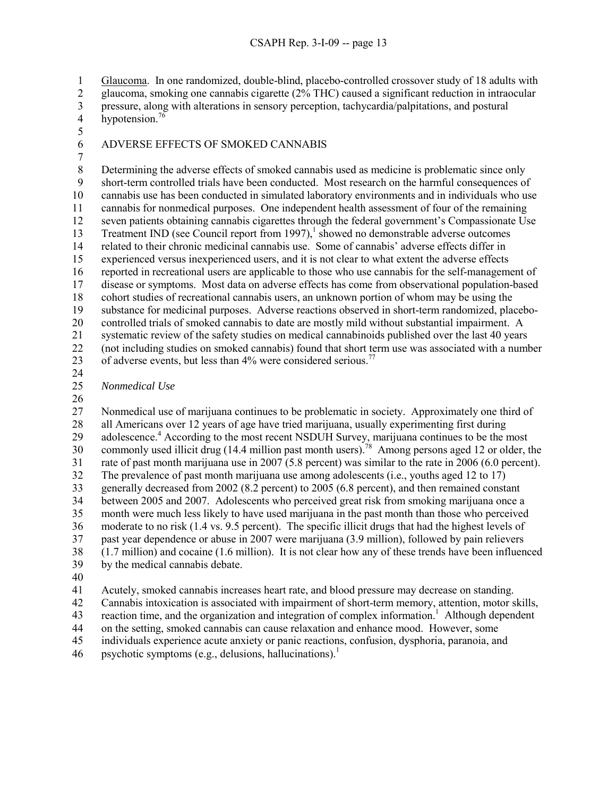1 Glaucoma. In one randomized, double-blind, placebo-controlled crossover study of 18 adults with

2 glaucoma, smoking one cannabis cigarette (2% THC) caused a significant reduction in intraocular

 $3$  pressure, along with alterations in sensory perception, tachycardia/palpitations, and postural hypotension.<sup>76</sup> hypotension. $76$ 

5

# 6 ADVERSE EFFECTS OF SMOKED CANNABIS

7

8 Determining the adverse effects of smoked cannabis used as medicine is problematic since only 9 short-term controlled trials have been conducted. Most research on the harmful consequences of 10 cannabis use has been conducted in simulated laboratory environments and in individuals who use 11 cannabis for nonmedical purposes. One independent health assessment of four of the remaining 12 seven patients obtaining cannabis cigarettes through the federal government's Compassionate Use 13 Treatment IND (see Council report from 1997),<sup>1</sup> showed no demonstrable adverse outcomes 14 related to their chronic medicinal cannabis use. Some of cannabis' adverse effects differ in 15 experienced versus inexperienced users, and it is not clear to what extent the adverse effects 16 reported in recreational users are applicable to those who use cannabis for the self-management of 17 disease or symptoms. Most data on adverse effects has come from observational population-based 18 cohort studies of recreational cannabis users, an unknown portion of whom may be using the 19 substance for medicinal purposes. Adverse reactions observed in short-term randomized, placebo-20 controlled trials of smoked cannabis to date are mostly mild without substantial impairment. A 21 systematic review of the safety studies on medical cannabinoids published over the last 40 years 22 (not including studies on smoked cannabis) found that short term use was associated with a number 23 of adverse events, but less than  $4\%$  were considered serious.<sup>77</sup>

24

25 *Nonmedical Use* 

26

27 Nonmedical use of marijuana continues to be problematic in society. Approximately one third of 28 all Americans over 12 years of age have tried marijuana, usually experimenting first during 29 adolescence.<sup>4</sup> According to the most recent NSDUH Survey, marijuana continues to be the most 30 commonly used illicit drug (14.4 million past month users).<sup>78</sup> Among persons aged 12 or older, the 31 rate of past month marijuana use in 2007 (5.8 percent) was similar to the rate in 2006 (6.0 percent). 32 The prevalence of past month marijuana use among adolescents (i.e., youths aged 12 to 17) 33 generally decreased from 2002 (8.2 percent) to 2005 (6.8 percent), and then remained constant 34 between 2005 and 2007. Adolescents who perceived great risk from smoking marijuana once a 35 month were much less likely to have used marijuana in the past month than those who perceived 36 moderate to no risk (1.4 vs. 9.5 percent). The specific illicit drugs that had the highest levels of 37 past year dependence or abuse in 2007 were marijuana (3.9 million), followed by pain relievers 38 (1.7 million) and cocaine (1.6 million). It is not clear how any of these trends have been influenced 39 by the medical cannabis debate.

40

41 Acutely, smoked cannabis increases heart rate, and blood pressure may decrease on standing.

42 Cannabis intoxication is associated with impairment of short-term memory, attention, motor skills,

43 reaction time, and the organization and integration of complex information.<sup>1</sup> Although dependent

44 on the setting, smoked cannabis can cause relaxation and enhance mood. However, some

45 individuals experience acute anxiety or panic reactions, confusion, dysphoria, paranoia, and

46 psychotic symptoms (e.g., delusions, hallucinations).<sup>1</sup>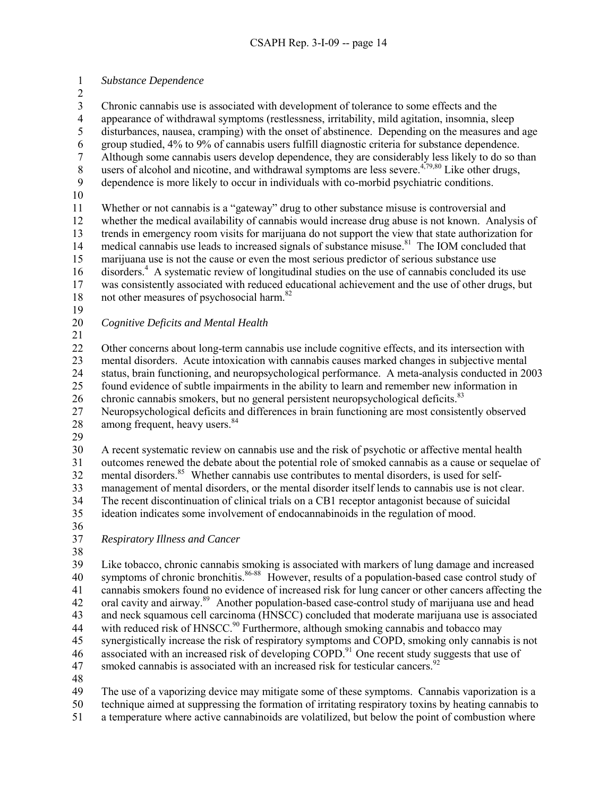1 *Substance Dependence* 

2

3 Chronic cannabis use is associated with development of tolerance to some effects and the appearance of withdrawal symptoms (restlessness, irritability, mild agitation, insomnia, sle 4 appearance of withdrawal symptoms (restlessness, irritability, mild agitation, insomnia, sleep 5 disturbances, nausea, cramping) with the onset of abstinence. Depending on the measures and age 6 group studied, 4% to 9% of cannabis users fulfill diagnostic criteria for substance dependence. 7 Although some cannabis users develop dependence, they are considerably less likely to do so than 8 users of alcohol and nicotine, and withdrawal symptoms are less severe.<sup>4,79,80</sup> Like other drugs, 9 dependence is more likely to occur in individuals with co-morbid psychiatric conditions. 10 11 Whether or not cannabis is a "gateway" drug to other substance misuse is controversial and 12 whether the medical availability of cannabis would increase drug abuse is not known. Analysis of 13 trends in emergency room visits for marijuana do not support the view that state authorization for 14 medical cannabis use leads to increased signals of substance misuse.<sup>81</sup> The IOM concluded that 15 marijuana use is not the cause or even the most serious predictor of serious substance use 16 disorders.<sup>4</sup> A systematic review of longitudinal studies on the use of cannabis concluded its use 17 was consistently associated with reduced educational achievement and the use of other drugs, but 18 not other measures of psychosocial harm. $82$ 19 20 *Cognitive Deficits and Mental Health*  21 22 Other concerns about long-term cannabis use include cognitive effects, and its intersection with 23 mental disorders. Acute intoxication with cannabis causes marked changes in subjective mental 24 status, brain functioning, and neuropsychological performance. A meta-analysis conducted in 2003 25 found evidence of subtle impairments in the ability to learn and remember new information in 26 chronic cannabis smokers, but no general persistent neuropsychological deficits.<sup>83</sup> 27 Neuropsychological deficits and differences in brain functioning are most consistently observed 28 among frequent, heavy users.<sup>84</sup> 29 30 A recent systematic review on cannabis use and the risk of psychotic or affective mental health 31 outcomes renewed the debate about the potential role of smoked cannabis as a cause or sequelae of 32 mental disorders.<sup>85</sup> Whether cannabis use contributes to mental disorders, is used for self-33 management of mental disorders, or the mental disorder itself lends to cannabis use is not clear. 34 The recent discontinuation of clinical trials on a CB1 receptor antagonist because of suicidal 35 ideation indicates some involvement of endocannabinoids in the regulation of mood. 36 37 *Respiratory Illness and Cancer*  38

39 Like tobacco, chronic cannabis smoking is associated with markers of lung damage and increased 40 symptoms of chronic bronchitis.<sup>86-88</sup> However, results of a population-based case control study of 41 cannabis smokers found no evidence of increased risk for lung cancer or other cancers affecting the 42 oral cavity and airway.<sup>89</sup> Another population-based case-control study of marijuana use and head 43 and neck squamous cell carcinoma (HNSCC) concluded that moderate marijuana use is associated 44 with reduced risk of HNSCC.<sup>90</sup> Furthermore, although smoking cannabis and tobacco may 45 synergistically increase the risk of respiratory symptoms and COPD, smoking only cannabis is not 46 associated with an increased risk of developing  $\widehat{COPD}^{91}$  One recent study suggests that use of 47 smoked cannabis is associated with an increased risk for testicular cancers.<sup>92</sup>

48

49 The use of a vaporizing device may mitigate some of these symptoms. Cannabis vaporization is a 50 technique aimed at suppressing the formation of irritating respiratory toxins by heating cannabis to 51 a temperature where active cannabinoids are volatilized, but below the point of combustion where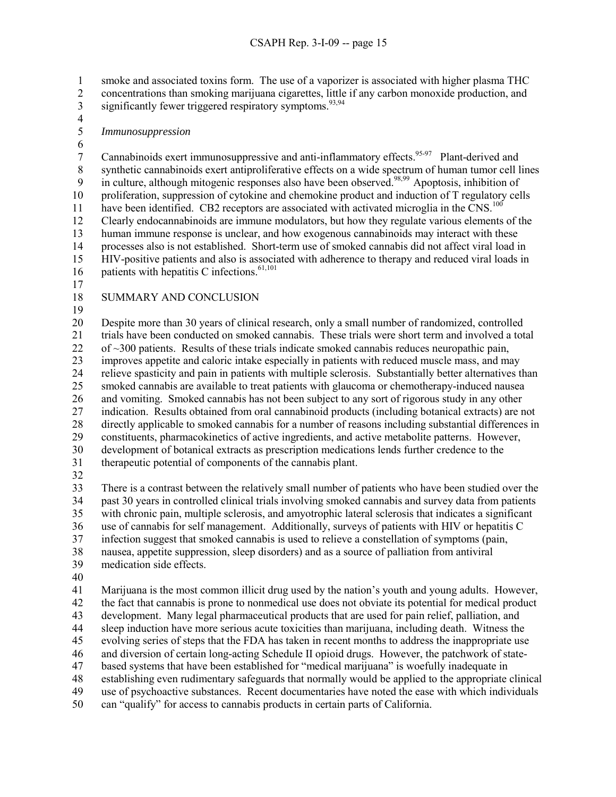1 smoke and associated toxins form. The use of a vaporizer is associated with higher plasma THC 2 concentrations than smoking marijuana cigarettes, little if any carbon monoxide production, and

- 3 significantly fewer triggered respiratory symptoms.<sup>93,94</sup>
- 4
- 5 *Immunosuppression*
- 

6<br>7 Cannabinoids exert immunosuppressive and anti-inflammatory effects.<sup>95-97</sup> Plant-derived and 8 synthetic cannabinoids exert antiproliferative effects on a wide spectrum of human tumor cell lines 9 in culture, although mitogenic responses also have been observed.<sup>98,99</sup> Apoptosis, inhibition of 10 proliferation, suppression of cytokine and chemokine product and induction of T regulatory cells have been identified. CB2 receptors are associated with activated microglia in the  $CNS$ <sup>100</sup> 12 Clearly endocannabinoids are immune modulators, but how they regulate various elements of the 13 human immune response is unclear, and how exogenous cannabinoids may interact with these 14 processes also is not established. Short-term use of smoked cannabis did not affect viral load in 15 HIV-positive patients and also is associated with adherence to therapy and reduced viral loads in 16 patients with hepatitis C infections. $61,101$ 

- 17
- 18 SUMMARY AND CONCLUSION
- 19

20 Despite more than 30 years of clinical research, only a small number of randomized, controlled 21 trials have been conducted on smoked cannabis. These trials were short term and involved a total 22 of ~300 patients. Results of these trials indicate smoked cannabis reduces neuropathic pain, 23 improves appetite and caloric intake especially in patients with reduced muscle mass, and may 24 relieve spasticity and pain in patients with multiple sclerosis. Substantially better alternatives than 25 smoked cannabis are available to treat patients with glaucoma or chemotherapy-induced nausea 26 and vomiting. Smoked cannabis has not been subject to any sort of rigorous study in any other 27 indication. Results obtained from oral cannabinoid products (including botanical extracts) are not 28 directly applicable to smoked cannabis for a number of reasons including substantial differences in 29 constituents, pharmacokinetics of active ingredients, and active metabolite patterns. However, 30 development of botanical extracts as prescription medications lends further credence to the 31 therapeutic potential of components of the cannabis plant.

32

33 There is a contrast between the relatively small number of patients who have been studied over the 34 past 30 years in controlled clinical trials involving smoked cannabis and survey data from patients 35 with chronic pain, multiple sclerosis, and amyotrophic lateral sclerosis that indicates a significant 36 use of cannabis for self management. Additionally, surveys of patients with HIV or hepatitis C 37 infection suggest that smoked cannabis is used to relieve a constellation of symptoms (pain, 38 nausea, appetite suppression, sleep disorders) and as a source of palliation from antiviral 39 medication side effects.

40

41 Marijuana is the most common illicit drug used by the nation's youth and young adults. However, 42 the fact that cannabis is prone to nonmedical use does not obviate its potential for medical product 43 development. Many legal pharmaceutical products that are used for pain relief, palliation, and 44 sleep induction have more serious acute toxicities than marijuana, including death. Witness the 45 evolving series of steps that the FDA has taken in recent months to address the inappropriate use 46 and diversion of certain long-acting Schedule II opioid drugs. However, the patchwork of state-47 based systems that have been established for "medical marijuana" is woefully inadequate in 48 establishing even rudimentary safeguards that normally would be applied to the appropriate clinical 49 use of psychoactive substances. Recent documentaries have noted the ease with which individuals 50 can "qualify" for access to cannabis products in certain parts of California.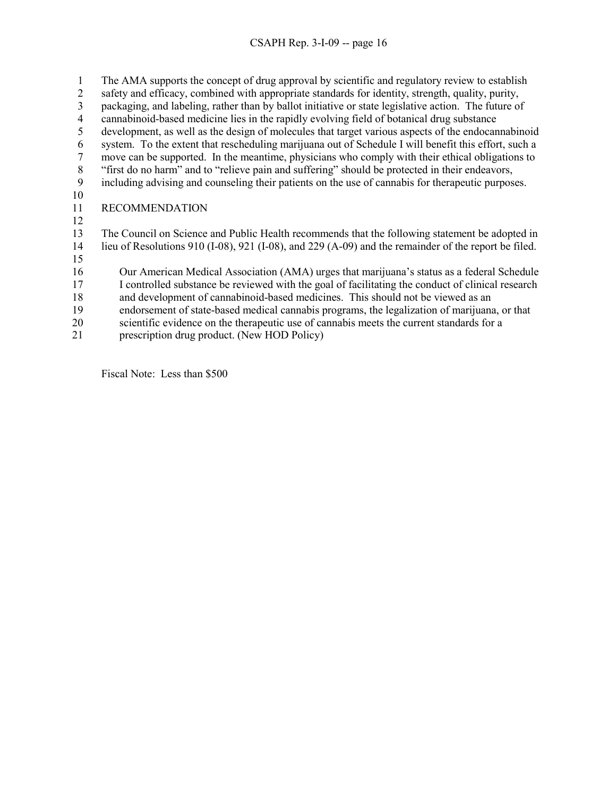## CSAPH Rep. 3-I-09 -- page 16

1 The AMA supports the concept of drug approval by scientific and regulatory review to establish

- 2 safety and efficacy, combined with appropriate standards for identity, strength, quality, purity,
- 3 packaging, and labeling, rather than by ballot initiative or state legislative action. The future of
- 4 cannabinoid-based medicine lies in the rapidly evolving field of botanical drug substance
- 5 development, as well as the design of molecules that target various aspects of the endocannabinoid
- 6 system. To the extent that rescheduling marijuana out of Schedule I will benefit this effort, such a 7 move can be supported. In the meantime, physicians who comply with their ethical obligations to
- 8 "first do no harm" and to "relieve pain and suffering" should be protected in their endeavors,
- 9 including advising and counseling their patients on the use of cannabis for therapeutic purposes.
- 10
- 11 RECOMMENDATION
- 12
- 13 The Council on Science and Public Health recommends that the following statement be adopted in 14 lieu of Resolutions 910 (I-08), 921 (I-08), and 229 (A-09) and the remainder of the report be filed.
- 15
- 16 Our American Medical Association (AMA) urges that marijuana's status as a federal Schedule
	- 17 I controlled substance be reviewed with the goal of facilitating the conduct of clinical research 18 and development of cannabinoid-based medicines. This should not be viewed as an
	- 19 endorsement of state-based medical cannabis programs, the legalization of marijuana, or that
	- 20 scientific evidence on the therapeutic use of cannabis meets the current standards for a
	- 21 prescription drug product. (New HOD Policy)

Fiscal Note: Less than \$500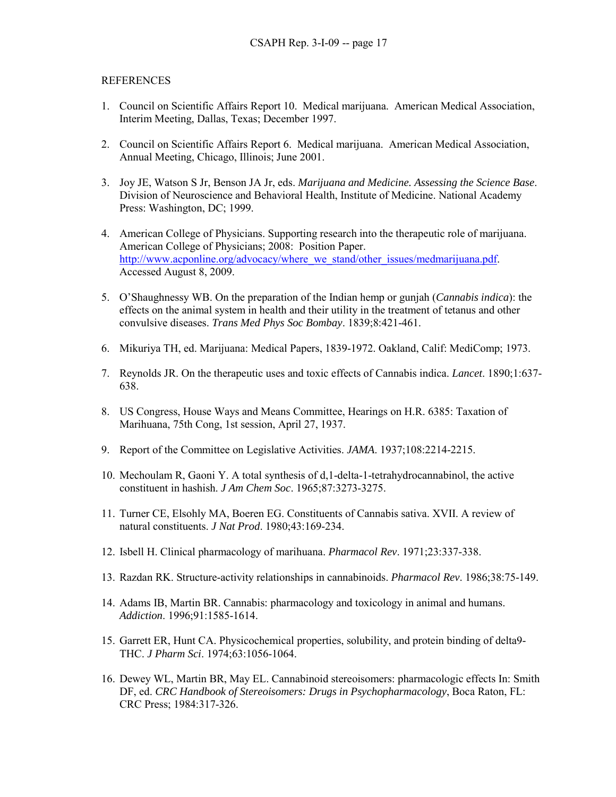## **REFERENCES**

- 1. Council on Scientific Affairs Report 10. Medical marijuana. American Medical Association, Interim Meeting, Dallas, Texas; December 1997.
- 2. Council on Scientific Affairs Report 6. Medical marijuana. American Medical Association, Annual Meeting, Chicago, Illinois; June 2001.
- 3. Joy JE, Watson S Jr, Benson JA Jr, eds. *Marijuana and Medicine. Assessing the Science Base*. Division of Neuroscience and Behavioral Health, Institute of Medicine. National Academy Press: Washington, DC; 1999.
- 4. American College of Physicians. Supporting research into the therapeutic role of marijuana. American College of Physicians; 2008: Position Paper. http://www.acponline.org/advocacy/where\_we\_stand/other\_issues/medmarijuana.pdf. Accessed August 8, 2009.
- 5. O'Shaughnessy WB. On the preparation of the Indian hemp or gunjah (*Cannabis indica*): the effects on the animal system in health and their utility in the treatment of tetanus and other convulsive diseases. *Trans Med Phys Soc Bombay*. 1839;8:421-461.
- 6. Mikuriya TH, ed. Marijuana: Medical Papers, 1839-1972. Oakland, Calif: MediComp; 1973.
- 7. Reynolds JR. On the therapeutic uses and toxic effects of Cannabis indica. *Lancet*. 1890;1:637- 638.
- 8. US Congress, House Ways and Means Committee, Hearings on H.R. 6385: Taxation of Marihuana, 75th Cong, 1st session, April 27, 1937.
- 9. Report of the Committee on Legislative Activities. *JAMA*. 1937;108:2214-2215.
- 10. Mechoulam R, Gaoni Y. A total synthesis of d,1-delta-1-tetrahydrocannabinol, the active constituent in hashish. *J Am Chem Soc*. 1965;87:3273-3275.
- 11. Turner CE, Elsohly MA, Boeren EG. Constituents of Cannabis sativa. XVII. A review of natural constituents. *J Nat Prod*. 1980;43:169-234.
- 12. Isbell H. Clinical pharmacology of marihuana. *Pharmacol Rev*. 1971;23:337-338.
- 13. Razdan RK. Structure-activity relationships in cannabinoids. *Pharmacol Rev*. 1986;38:75-149.
- 14. Adams IB, Martin BR. Cannabis: pharmacology and toxicology in animal and humans. *Addiction*. 1996;91:1585-1614.
- 15. Garrett ER, Hunt CA. Physicochemical properties, solubility, and protein binding of delta9- THC. *J Pharm Sci*. 1974;63:1056-1064.
- 16. Dewey WL, Martin BR, May EL. Cannabinoid stereoisomers: pharmacologic effects In: Smith DF, ed. *CRC Handbook of Stereoisomers: Drugs in Psychopharmacology*, Boca Raton, FL: CRC Press; 1984:317-326.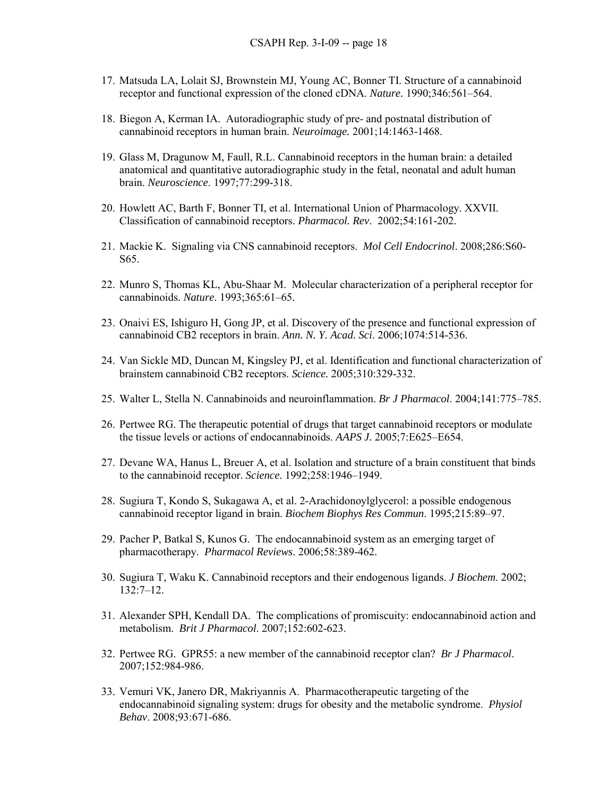- 17. Matsuda LA, Lolait SJ, Brownstein MJ, Young AC, Bonner TI. Structure of a cannabinoid receptor and functional expression of the cloned cDNA. *Nature.* 1990;346:561–564.
- 18. Biegon A, Kerman IA. Autoradiographic study of pre- and postnatal distribution of cannabinoid receptors in human brain. *Neuroimage.* 2001;14:1463-1468.
- 19. Glass M, Dragunow M, Faull, R.L. Cannabinoid receptors in the human brain: a detailed anatomical and quantitative autoradiographic study in the fetal, neonatal and adult human brain. *Neuroscience*. 1997;77:299-318.
- 20. Howlett AC, Barth F, Bonner TI, et al. International Union of Pharmacology. XXVII. Classification of cannabinoid receptors. *Pharmacol. Rev*. 2002;54:161-202.
- 21. Mackie K. Signaling via CNS cannabinoid receptors. *Mol Cell Endocrinol*. 2008;286:S60- S65.
- 22. Munro S, Thomas KL, Abu-Shaar M. Molecular characterization of a peripheral receptor for cannabinoids. *Nature*. 1993;365:61–65.
- 23. Onaivi ES, Ishiguro H, Gong JP, et al. Discovery of the presence and functional expression of cannabinoid CB2 receptors in brain. *Ann. N. Y. Acad. Sci*. 2006;1074:514-536.
- 24. Van Sickle MD, Duncan M, Kingsley PJ, et al. Identification and functional characterization of brainstem cannabinoid CB2 receptors. *Science.* 2005;310:329-332.
- 25. Walter L, Stella N. Cannabinoids and neuroinflammation. *Br J Pharmacol*. 2004;141:775–785.
- 26. Pertwee RG. The therapeutic potential of drugs that target cannabinoid receptors or modulate the tissue levels or actions of endocannabinoids. *AAPS J.* 2005;7:E625–E654.
- 27. Devane WA, Hanus L, Breuer A, et al. Isolation and structure of a brain constituent that binds to the cannabinoid receptor. *Science.* 1992;258:1946–1949.
- 28. Sugiura T, Kondo S, Sukagawa A, et al. 2-Arachidonoylglycerol: a possible endogenous cannabinoid receptor ligand in brain. *Biochem Biophys Res Commun*. 1995;215:89–97.
- 29. Pacher P, Batkal S, Kunos G. The endocannabinoid system as an emerging target of pharmacotherapy. *Pharmacol Reviews*. 2006;58:389-462.
- 30. Sugiura T, Waku K. Cannabinoid receptors and their endogenous ligands. *J Biochem*. 2002; 132:7–12.
- 31. Alexander SPH, Kendall DA. The complications of promiscuity: endocannabinoid action and metabolism. *Brit J Pharmacol*. 2007;152:602-623.
- 32. Pertwee RG. GPR55: a new member of the cannabinoid receptor clan? *Br J Pharmacol*. 2007;152:984-986.
- 33. Vemuri VK, Janero DR, Makriyannis A. Pharmacotherapeutic targeting of the endocannabinoid signaling system: drugs for obesity and the metabolic syndrome. *Physiol Behav*. 2008;93:671-686.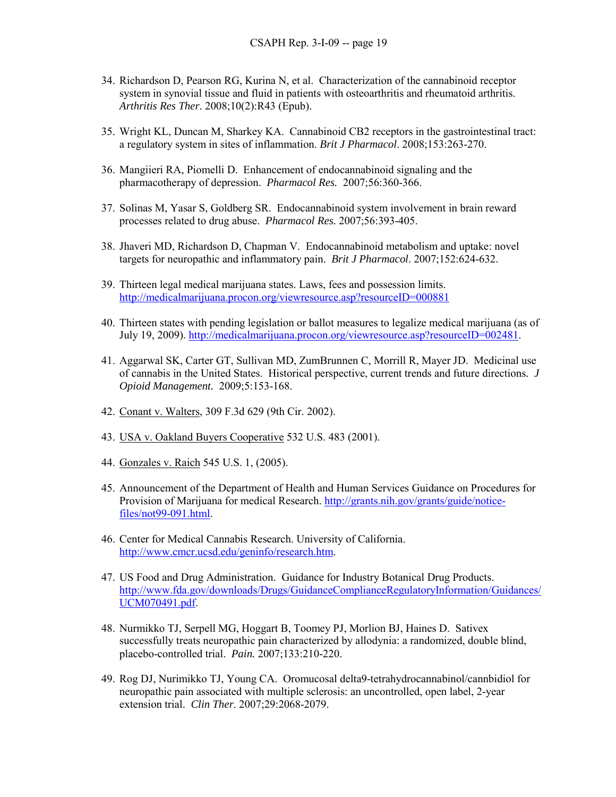- 34. Richardson D, Pearson RG, Kurina N, et al. Characterization of the cannabinoid receptor system in synovial tissue and fluid in patients with osteoarthritis and rheumatoid arthritis. *Arthritis Res Ther*. 2008;10(2):R43 (Epub).
- 35. Wright KL, Duncan M, Sharkey KA. Cannabinoid CB2 receptors in the gastrointestinal tract: a regulatory system in sites of inflammation. *Brit J Pharmacol*. 2008;153:263-270.
- 36. Mangiieri RA, Piomelli D. Enhancement of endocannabinoid signaling and the pharmacotherapy of depression. *Pharmacol Res.* 2007;56:360-366.
- 37. Solinas M, Yasar S, Goldberg SR. Endocannabinoid system involvement in brain reward processes related to drug abuse. *Pharmacol Res.* 2007;56:393-405.
- 38. Jhaveri MD, Richardson D, Chapman V. Endocannabinoid metabolism and uptake: novel targets for neuropathic and inflammatory pain. *Brit J Pharmacol*. 2007;152:624-632.
- 39. Thirteen legal medical marijuana states. Laws, fees and possession limits. http://medicalmarijuana.procon.org/viewresource.asp?resourceID=000881
- 40. Thirteen states with pending legislation or ballot measures to legalize medical marijuana (as of July 19, 2009). http://medicalmarijuana.procon.org/viewresource.asp?resourceID=002481.
- 41. Aggarwal SK, Carter GT, Sullivan MD, ZumBrunnen C, Morrill R, Mayer JD. Medicinal use of cannabis in the United States. Historical perspective, current trends and future directions*. J Opioid Management.* 2009;5:153-168.
- 42. Conant v. Walters, 309 F.3d 629 (9th Cir. 2002).
- 43. USA v. Oakland Buyers Cooperative 532 U.S. 483 (2001).
- 44. Gonzales v. Raich 545 U.S. 1, (2005).
- 45. Announcement of the Department of Health and Human Services Guidance on Procedures for Provision of Marijuana for medical Research. http://grants.nih.gov/grants/guide/noticefiles/not99-091.html.
- 46. Center for Medical Cannabis Research. University of California. http://www.cmcr.ucsd.edu/geninfo/research.htm.
- 47. US Food and Drug Administration. Guidance for Industry Botanical Drug Products. http://www.fda.gov/downloads/Drugs/GuidanceComplianceRegulatoryInformation/Guidances/ UCM070491.pdf.
- 48. Nurmikko TJ, Serpell MG, Hoggart B, Toomey PJ, Morlion BJ, Haines D. Sativex successfully treats neuropathic pain characterized by allodynia: a randomized, double blind, placebo-controlled trial. *Pain.* 2007;133:210-220.
- 49. Rog DJ, Nurimikko TJ, Young CA. Oromucosal delta9-tetrahydrocannabinol/cannbidiol for neuropathic pain associated with multiple sclerosis: an uncontrolled, open label, 2-year extension trial. *Clin Ther*. 2007;29:2068-2079.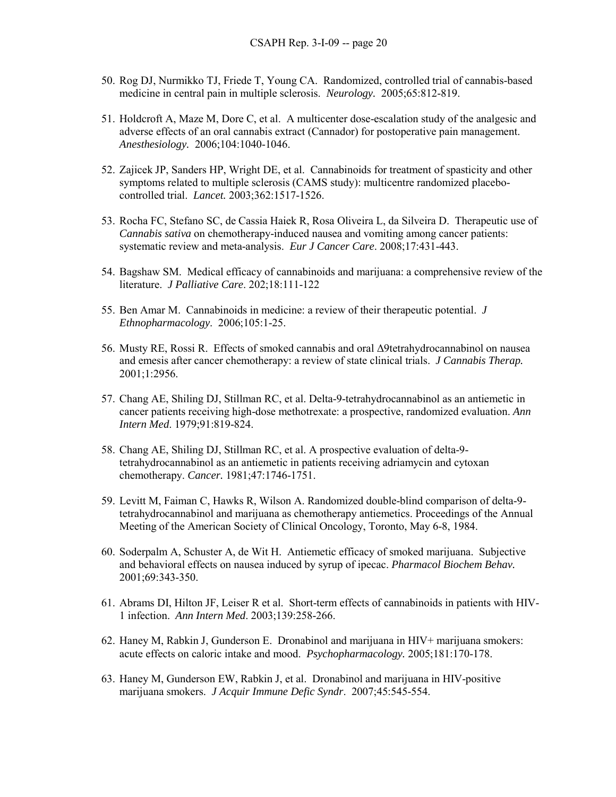- 50. Rog DJ, Nurmikko TJ, Friede T, Young CA. Randomized, controlled trial of cannabis-based medicine in central pain in multiple sclerosis. *Neurology.* 2005;65:812-819.
- 51. Holdcroft A, Maze M, Dore C, et al. A multicenter dose-escalation study of the analgesic and adverse effects of an oral cannabis extract (Cannador) for postoperative pain management. *Anesthesiology.* 2006;104:1040-1046.
- 52. Zajicek JP, Sanders HP, Wright DE, et al. Cannabinoids for treatment of spasticity and other symptoms related to multiple sclerosis (CAMS study): multicentre randomized placebocontrolled trial. *Lancet.* 2003;362:1517-1526.
- 53. Rocha FC, Stefano SC, de Cassia Haiek R, Rosa Oliveira L, da Silveira D. Therapeutic use of *Cannabis sativa* on chemotherapy-induced nausea and vomiting among cancer patients: systematic review and meta-analysis. *Eur J Cancer Care*. 2008;17:431-443.
- 54. Bagshaw SM. Medical efficacy of cannabinoids and marijuana: a comprehensive review of the literature. *J Palliative Care*. 202;18:111-122
- 55. Ben Amar M. Cannabinoids in medicine: a review of their therapeutic potential. *J Ethnopharmacology*. 2006;105:1-25.
- 56. Musty RE, Rossi R. Effects of smoked cannabis and oral ∆9tetrahydrocannabinol on nausea and emesis after cancer chemotherapy: a review of state clinical trials. *J Cannabis Therap.* 2001;1:2956.
- 57. Chang AE, Shiling DJ, Stillman RC, et al. Delta-9-tetrahydrocannabinol as an antiemetic in cancer patients receiving high-dose methotrexate: a prospective, randomized evaluation. *Ann Intern Med*. 1979;91:819-824.
- 58. Chang AE, Shiling DJ, Stillman RC, et al. A prospective evaluation of delta-9 tetrahydrocannabinol as an antiemetic in patients receiving adriamycin and cytoxan chemotherapy. *Cancer.* 1981;47:1746-1751.
- 59. Levitt M, Faiman C, Hawks R, Wilson A. Randomized double-blind comparison of delta-9 tetrahydrocannabinol and marijuana as chemotherapy antiemetics. Proceedings of the Annual Meeting of the American Society of Clinical Oncology, Toronto, May 6-8, 1984.
- 60. Soderpalm A, Schuster A, de Wit H. Antiemetic efficacy of smoked marijuana. Subjective and behavioral effects on nausea induced by syrup of ipecac. *Pharmacol Biochem Behav.* 2001;69:343-350.
- 61. Abrams DI, Hilton JF, Leiser R et al. Short-term effects of cannabinoids in patients with HIV-1 infection. *Ann Intern Med*. 2003;139:258-266.
- 62. Haney M, Rabkin J, Gunderson E. Dronabinol and marijuana in HIV+ marijuana smokers: acute effects on caloric intake and mood. *Psychopharmacology.* 2005;181:170-178.
- 63. Haney M, Gunderson EW, Rabkin J, et al. Dronabinol and marijuana in HIV-positive marijuana smokers. *J Acquir Immune Defic Syndr*. 2007;45:545-554.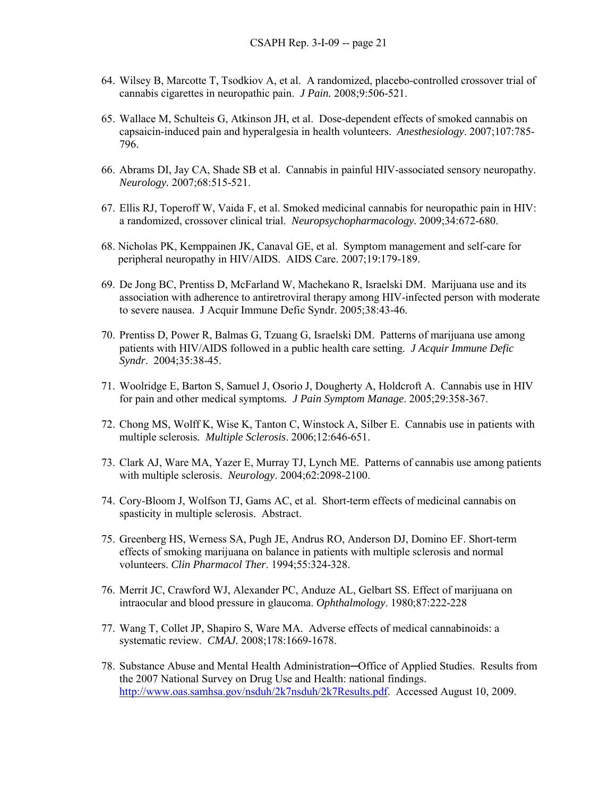- 64. Wilsey B, Marcotte T, Tsodkiov A, et al. A randomized, placebo-controlled crossover trial of cannabis cigarettes in neuropathic pain. *J Pain.* 2008;9:506-521.
- 65. Wallace M, Schulteis G, Atkinson JH, et al. Dose-dependent effects of smoked cannabis on capsaicin-induced pain and hyperalgesia in health volunteers. *Anesthesiology*. 2007;107:785- 796.
- 66. Abrams DI, Jay CA, Shade SB et al. Cannabis in painful HIV-associated sensory neuropathy. *Neurology.* 2007;68:515-521.
- 67. Ellis RJ, Toperoff W, Vaida F, et al. Smoked medicinal cannabis for neuropathic pain in HIV: a randomized, crossover clinical trial. *Neuropsychopharmacology.* 2009;34:672-680.
- 68. Nicholas PK, Kemppainen JK, Canaval GE, et al. Symptom management and self-care for peripheral neuropathy in HIV/AIDS. AIDS Care. 2007;19:179-189.
- 69. De Jong BC, Prentiss D, McFarland W, Machekano R, Israelski DM. Marijuana use and its association with adherence to antiretroviral therapy among HIV-infected person with moderate to severe nausea. J Acquir Immune Defic Syndr. 2005;38:43-46.
- 70. Prentiss D, Power R, Balmas G, Tzuang G, Israelski DM. Patterns of marijuana use among patients with HIV/AIDS followed in a public health care setting. *J Acquir Immune Defic Syndr*. 2004;35:38-45.
- 71. Woolridge E, Barton S, Samuel J, Osorio J, Dougherty A, Holdcroft A. Cannabis use in HIV for pain and other medical symptoms*. J Pain Symptom Manage*. 2005;29:358-367.
- 72. Chong MS, Wolff K, Wise K, Tanton C, Winstock A, Silber E. Cannabis use in patients with multiple sclerosis*. Multiple Sclerosis*. 2006;12:646-651.
- 73. Clark AJ, Ware MA, Yazer E, Murray TJ, Lynch ME. Patterns of cannabis use among patients with multiple sclerosis. *Neurology*. 2004;62:2098-2100.
- 74. Cory-Bloom J, Wolfson TJ, Gams AC, et al. Short-term effects of medicinal cannabis on spasticity in multiple sclerosis. Abstract.
- 75. Greenberg HS, Werness SA, Pugh JE, Andrus RO, Anderson DJ, Domino EF. Short-term effects of smoking marijuana on balance in patients with multiple sclerosis and normal volunteers. *Clin Pharmacol Ther*. 1994;55:324-328.
- 76. Merrit JC, Crawford WJ, Alexander PC, Anduze AL, Gelbart SS. Effect of marijuana on intraocular and blood pressure in glaucoma. *Ophthalmology*. 1980;87:222-228
- 77. Wang T, Collet JP, Shapiro S, Ware MA. Adverse effects of medical cannabinoids: a systematic review. *CMAJ.* 2008;178:1669-1678.
- 78. Substance Abuse and Mental Health Administration─Office of Applied Studies. Results from the 2007 National Survey on Drug Use and Health: national findings. http://www.oas.samhsa.gov/nsduh/2k7nsduh/2k7Results.pdf. Accessed August 10, 2009.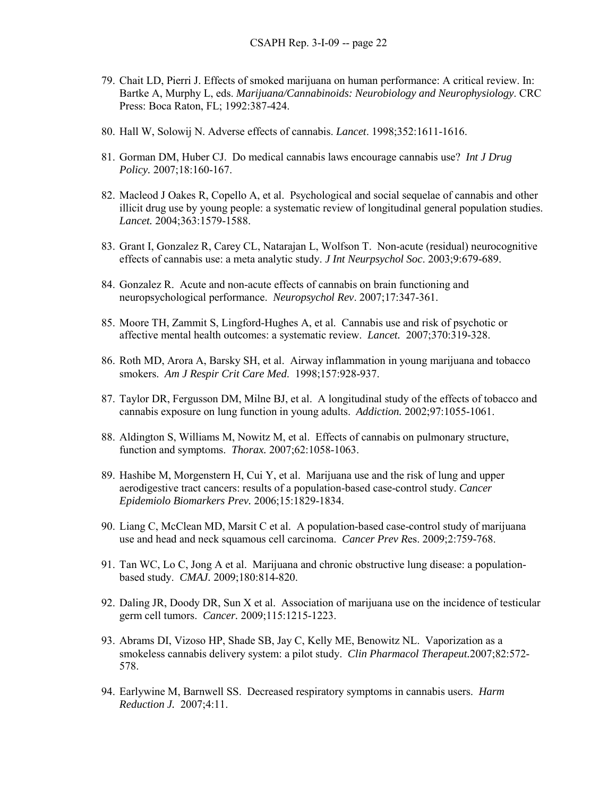- 79. Chait LD, Pierri J. Effects of smoked marijuana on human performance: A critical review. In: Bartke A, Murphy L, eds. *Marijuana/Cannabinoids: Neurobiology and Neurophysiology*. CRC Press: Boca Raton, FL; 1992:387-424.
- 80. Hall W, Solowij N. Adverse effects of cannabis. *Lancet*. 1998;352:1611-1616.
- 81. Gorman DM, Huber CJ. Do medical cannabis laws encourage cannabis use? *Int J Drug Policy.* 2007;18:160-167.
- 82. Macleod J Oakes R, Copello A, et al. Psychological and social sequelae of cannabis and other illicit drug use by young people: a systematic review of longitudinal general population studies. *Lancet.* 2004;363:1579-1588.
- 83. Grant I, Gonzalez R, Carey CL, Natarajan L, Wolfson T. Non-acute (residual) neurocognitive effects of cannabis use: a meta analytic study. *J Int Neurpsychol Soc*. 2003;9:679-689.
- 84. Gonzalez R. Acute and non-acute effects of cannabis on brain functioning and neuropsychological performance. *Neuropsychol Rev*. 2007;17:347-361.
- 85. Moore TH, Zammit S, Lingford-Hughes A, et al. Cannabis use and risk of psychotic or affective mental health outcomes: a systematic review. *Lancet.* 2007;370:319-328.
- 86. Roth MD, Arora A, Barsky SH, et al. Airway inflammation in young marijuana and tobacco smokers. *Am J Respir Crit Care Med*. 1998;157:928-937.
- 87. Taylor DR, Fergusson DM, Milne BJ, et al. A longitudinal study of the effects of tobacco and cannabis exposure on lung function in young adults. *Addiction.* 2002;97:1055-1061.
- 88. Aldington S, Williams M, Nowitz M, et al. Effects of cannabis on pulmonary structure, function and symptoms. *Thorax.* 2007;62:1058-1063.
- 89. Hashibe M, Morgenstern H, Cui Y, et al. Marijuana use and the risk of lung and upper aerodigestive tract cancers: results of a population-based case-control study. *Cancer Epidemiolo Biomarkers Prev.* 2006;15:1829-1834.
- 90. Liang C, McClean MD, Marsit C et al. A population-based case-control study of marijuana use and head and neck squamous cell carcinoma. *Cancer Prev R*es. 2009;2:759-768.
- 91. Tan WC, Lo C, Jong A et al. Marijuana and chronic obstructive lung disease: a populationbased study. *CMAJ.* 2009;180:814-820.
- 92. Daling JR, Doody DR, Sun X et al. Association of marijuana use on the incidence of testicular germ cell tumors. *Cancer.* 2009;115:1215-1223.
- 93. Abrams DI, Vizoso HP, Shade SB, Jay C, Kelly ME, Benowitz NL. Vaporization as a smokeless cannabis delivery system: a pilot study. *Clin Pharmacol Therapeut.*2007;82:572- 578.
- 94. Earlywine M, Barnwell SS. Decreased respiratory symptoms in cannabis users. *Harm Reduction J.* 2007;4:11.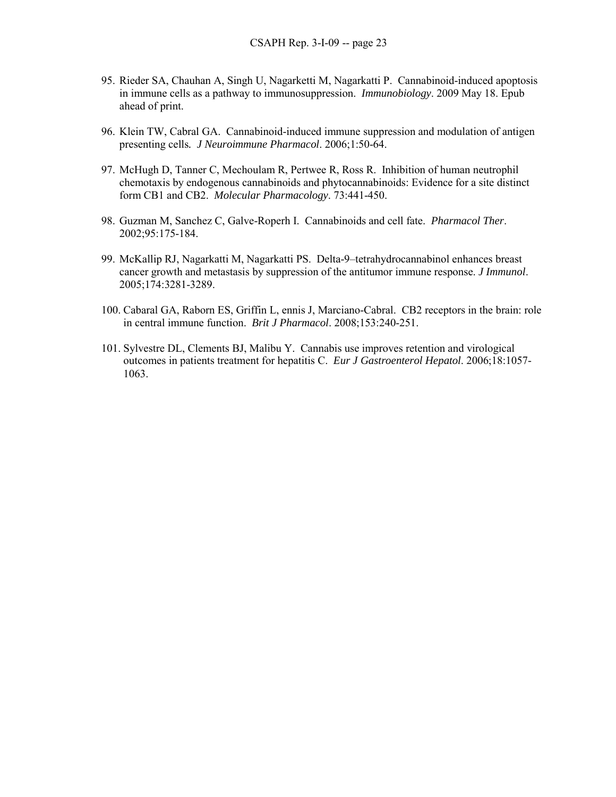- 95. Rieder SA, Chauhan A, Singh U, Nagarketti M, Nagarkatti P. Cannabinoid-induced apoptosis in immune cells as a pathway to immunosuppression. *Immunobiology*. 2009 May 18. Epub ahead of print.
- 96. Klein TW, Cabral GA. Cannabinoid-induced immune suppression and modulation of antigen presenting cells*. J Neuroimmune Pharmacol*. 2006;1:50-64.
- 97. McHugh D, Tanner C, Mechoulam R, Pertwee R, Ross R. Inhibition of human neutrophil chemotaxis by endogenous cannabinoids and phytocannabinoids: Evidence for a site distinct form CB1 and CB2. *Molecular Pharmacology*. 73:441-450.
- 98. Guzman M, Sanchez C, Galve-Roperh I. Cannabinoids and cell fate. *Pharmacol Ther*. 2002;95:175-184.
- 99. McKallip RJ, Nagarkatti M, Nagarkatti PS. Delta-9–tetrahydrocannabinol enhances breast cancer growth and metastasis by suppression of the antitumor immune response. *J Immunol*. 2005;174:3281-3289.
- 100. Cabaral GA, Raborn ES, Griffin L, ennis J, Marciano-Cabral. CB2 receptors in the brain: role in central immune function. *Brit J Pharmacol*. 2008;153:240-251.
- 101. Sylvestre DL, Clements BJ, Malibu Y. Cannabis use improves retention and virological outcomes in patients treatment for hepatitis C. *Eur J Gastroenterol Hepatol*. 2006;18:1057- 1063.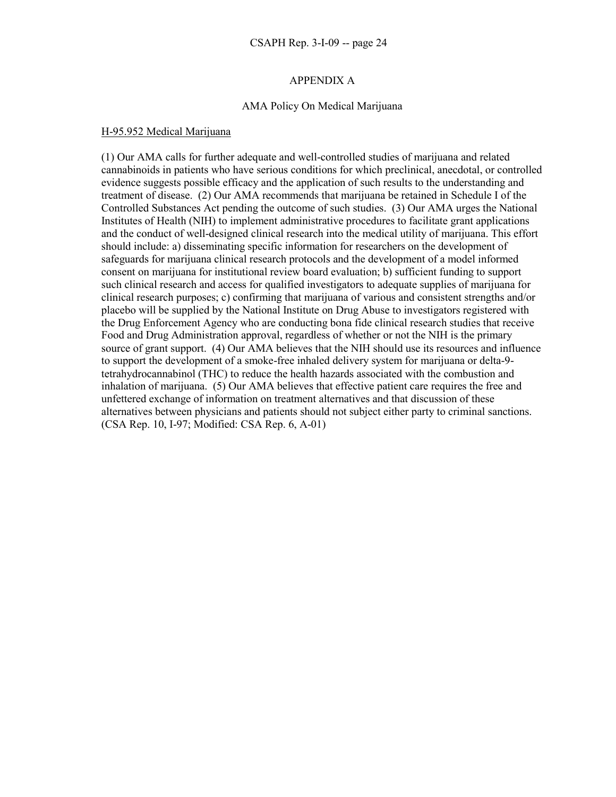## APPENDIX A

## AMA Policy On Medical Marijuana

### H-95.952 Medical Marijuana

(1) Our AMA calls for further adequate and well-controlled studies of marijuana and related cannabinoids in patients who have serious conditions for which preclinical, anecdotal, or controlled evidence suggests possible efficacy and the application of such results to the understanding and treatment of disease. (2) Our AMA recommends that marijuana be retained in Schedule I of the Controlled Substances Act pending the outcome of such studies. (3) Our AMA urges the National Institutes of Health (NIH) to implement administrative procedures to facilitate grant applications and the conduct of well-designed clinical research into the medical utility of marijuana. This effort should include: a) disseminating specific information for researchers on the development of safeguards for marijuana clinical research protocols and the development of a model informed consent on marijuana for institutional review board evaluation; b) sufficient funding to support such clinical research and access for qualified investigators to adequate supplies of marijuana for clinical research purposes; c) confirming that marijuana of various and consistent strengths and/or placebo will be supplied by the National Institute on Drug Abuse to investigators registered with the Drug Enforcement Agency who are conducting bona fide clinical research studies that receive Food and Drug Administration approval, regardless of whether or not the NIH is the primary source of grant support. (4) Our AMA believes that the NIH should use its resources and influence to support the development of a smoke-free inhaled delivery system for marijuana or delta-9 tetrahydrocannabinol (THC) to reduce the health hazards associated with the combustion and inhalation of marijuana. (5) Our AMA believes that effective patient care requires the free and unfettered exchange of information on treatment alternatives and that discussion of these alternatives between physicians and patients should not subject either party to criminal sanctions. (CSA Rep. 10, I-97; Modified: CSA Rep. 6, A-01)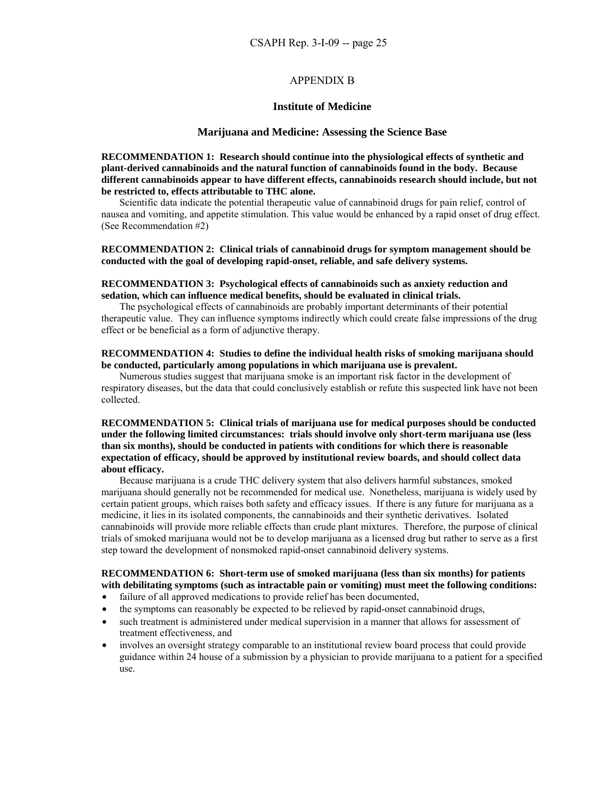### APPENDIX B

#### **Institute of Medicine**

#### **Marijuana and Medicine: Assessing the Science Base**

**RECOMMENDATION 1: Research should continue into the physiological effects of synthetic and plant-derived cannabinoids and the natural function of cannabinoids found in the body. Because different cannabinoids appear to have different effects, cannabinoids research should include, but not be restricted to, effects attributable to THC alone.** 

 Scientific data indicate the potential therapeutic value of cannabinoid drugs for pain relief, control of nausea and vomiting, and appetite stimulation. This value would be enhanced by a rapid onset of drug effect. (See Recommendation #2)

### **RECOMMENDATION 2: Clinical trials of cannabinoid drugs for symptom management should be conducted with the goal of developing rapid-onset, reliable, and safe delivery systems.**

#### **RECOMMENDATION 3: Psychological effects of cannabinoids such as anxiety reduction and sedation, which can influence medical benefits, should be evaluated in clinical trials.**

The psychological effects of cannabinoids are probably important determinants of their potential therapeutic value. They can influence symptoms indirectly which could create false impressions of the drug effect or be beneficial as a form of adjunctive therapy.

### **RECOMMENDATION 4: Studies to define the individual health risks of smoking marijuana should be conducted, particularly among populations in which marijuana use is prevalent.**

Numerous studies suggest that marijuana smoke is an important risk factor in the development of respiratory diseases, but the data that could conclusively establish or refute this suspected link have not been collected.

### **RECOMMENDATION 5: Clinical trials of marijuana use for medical purposes should be conducted under the following limited circumstances: trials should involve only short-term marijuana use (less than six months), should be conducted in patients with conditions for which there is reasonable expectation of efficacy, should be approved by institutional review boards, and should collect data about efficacy.**

Because marijuana is a crude THC delivery system that also delivers harmful substances, smoked marijuana should generally not be recommended for medical use. Nonetheless, marijuana is widely used by certain patient groups, which raises both safety and efficacy issues. If there is any future for marijuana as a medicine, it lies in its isolated components, the cannabinoids and their synthetic derivatives. Isolated cannabinoids will provide more reliable effects than crude plant mixtures. Therefore, the purpose of clinical trials of smoked marijuana would not be to develop marijuana as a licensed drug but rather to serve as a first step toward the development of nonsmoked rapid-onset cannabinoid delivery systems.

#### **RECOMMENDATION 6: Short-term use of smoked marijuana (less than six months) for patients with debilitating symptoms (such as intractable pain or vomiting) must meet the following conditions:**

- failure of all approved medications to provide relief has been documented,
- the symptoms can reasonably be expected to be relieved by rapid-onset cannabinoid drugs,
- such treatment is administered under medical supervision in a manner that allows for assessment of treatment effectiveness, and
- involves an oversight strategy comparable to an institutional review board process that could provide guidance within 24 house of a submission by a physician to provide marijuana to a patient for a specified use.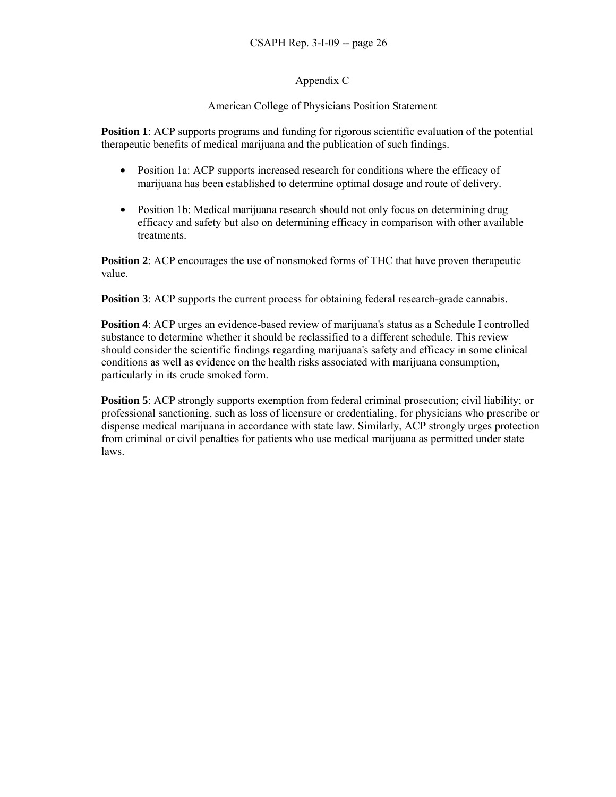## Appendix C

## American College of Physicians Position Statement

**Position 1**: ACP supports programs and funding for rigorous scientific evaluation of the potential therapeutic benefits of medical marijuana and the publication of such findings.

- Position 1a: ACP supports increased research for conditions where the efficacy of marijuana has been established to determine optimal dosage and route of delivery.
- Position 1b: Medical marijuana research should not only focus on determining drug efficacy and safety but also on determining efficacy in comparison with other available treatments.

**Position 2:** ACP encourages the use of nonsmoked forms of THC that have proven therapeutic value.

**Position 3**: ACP supports the current process for obtaining federal research-grade cannabis.

**Position 4:** ACP urges an evidence-based review of marijuana's status as a Schedule I controlled substance to determine whether it should be reclassified to a different schedule. This review should consider the scientific findings regarding marijuana's safety and efficacy in some clinical conditions as well as evidence on the health risks associated with marijuana consumption, particularly in its crude smoked form.

**Position 5**: ACP strongly supports exemption from federal criminal prosecution; civil liability; or professional sanctioning, such as loss of licensure or credentialing, for physicians who prescribe or dispense medical marijuana in accordance with state law. Similarly, ACP strongly urges protection from criminal or civil penalties for patients who use medical marijuana as permitted under state laws.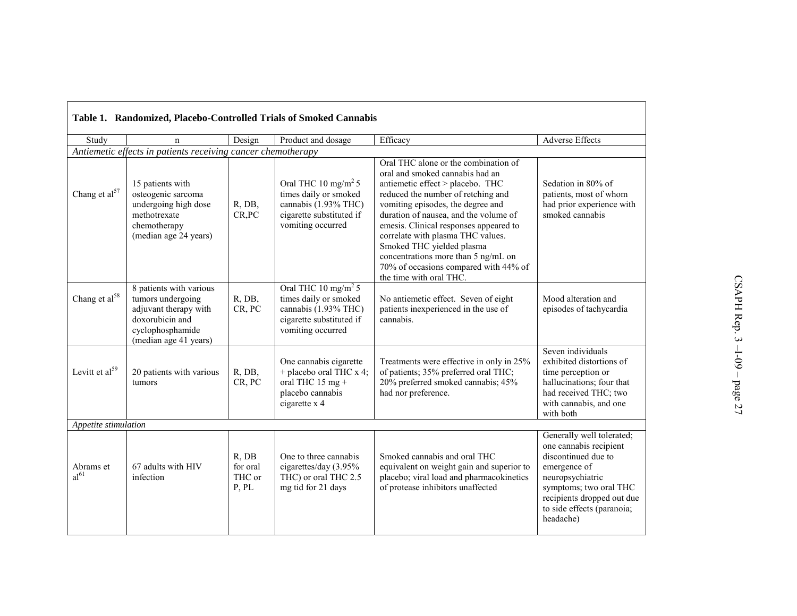| Table 1. Randomized, Placebo-Controlled Trials of Smoked Cannabis |                                                                                                                                       |                                      |                                                                                                                                   |                                                                                                                                                                                                                                                                                                                                                                                                                                                        |                                                                                                                                                                                                                   |  |
|-------------------------------------------------------------------|---------------------------------------------------------------------------------------------------------------------------------------|--------------------------------------|-----------------------------------------------------------------------------------------------------------------------------------|--------------------------------------------------------------------------------------------------------------------------------------------------------------------------------------------------------------------------------------------------------------------------------------------------------------------------------------------------------------------------------------------------------------------------------------------------------|-------------------------------------------------------------------------------------------------------------------------------------------------------------------------------------------------------------------|--|
| Study                                                             | n                                                                                                                                     | Design                               | Product and dosage                                                                                                                | Efficacy                                                                                                                                                                                                                                                                                                                                                                                                                                               | <b>Adverse Effects</b>                                                                                                                                                                                            |  |
| Antiemetic effects in patients receiving cancer chemotherapy      |                                                                                                                                       |                                      |                                                                                                                                   |                                                                                                                                                                                                                                                                                                                                                                                                                                                        |                                                                                                                                                                                                                   |  |
| Chang et al <sup>57</sup>                                         | 15 patients with<br>osteogenic sarcoma<br>undergoing high dose<br>methotrexate<br>chemotherapy<br>(median age 24 years)               | R, DB,<br>CR,PC                      | Oral THC 10 mg/m <sup>2</sup> 5<br>times daily or smoked<br>cannabis (1.93% THC)<br>cigarette substituted if<br>vomiting occurred | Oral THC alone or the combination of<br>oral and smoked cannabis had an<br>antiemetic effect > placebo. THC<br>reduced the number of retching and<br>vomiting episodes, the degree and<br>duration of nausea, and the volume of<br>emesis. Clinical responses appeared to<br>correlate with plasma THC values.<br>Smoked THC yielded plasma<br>concentrations more than 5 ng/mL on<br>70% of occasions compared with 44% of<br>the time with oral THC. | Sedation in 80% of<br>patients, most of whom<br>had prior experience with<br>smoked cannabis                                                                                                                      |  |
| Chang et al <sup>58</sup>                                         | 8 patients with various<br>tumors undergoing<br>adjuvant therapy with<br>doxorubicin and<br>cyclophosphamide<br>(median age 41 years) | R, DB,<br>CR, PC                     | Oral THC 10 mg/m <sup>2</sup> 5<br>times daily or smoked<br>cannabis (1.93% THC)<br>cigarette substituted if<br>vomiting occurred | No antiemetic effect. Seven of eight<br>patients inexperienced in the use of<br>cannabis.                                                                                                                                                                                                                                                                                                                                                              | Mood alteration and<br>episodes of tachycardia                                                                                                                                                                    |  |
| Levitt et al <sup>59</sup>                                        | 20 patients with various<br>tumors                                                                                                    | R, DB,<br>CR, PC                     | One cannabis cigarette<br>+ placebo oral THC x 4;<br>oral THC $15 \text{ mg} +$<br>placebo cannabis<br>cigarette x 4              | Treatments were effective in only in 25%<br>of patients; 35% preferred oral THC;<br>20% preferred smoked cannabis; 45%<br>had nor preference.                                                                                                                                                                                                                                                                                                          | Seven individuals<br>exhibited distortions of<br>time perception or<br>hallucinations; four that<br>had received THC; two<br>with cannabis, and one<br>with both                                                  |  |
| Appetite stimulation                                              |                                                                                                                                       |                                      |                                                                                                                                   |                                                                                                                                                                                                                                                                                                                                                                                                                                                        |                                                                                                                                                                                                                   |  |
| Abrams et<br>al <sup>61</sup>                                     | 67 adults with HIV<br>infection                                                                                                       | R, DB<br>for oral<br>THC or<br>P, PL | One to three cannabis<br>cigarettes/day (3.95%<br>THC) or oral THC 2.5<br>mg tid for 21 days                                      | Smoked cannabis and oral THC<br>equivalent on weight gain and superior to<br>placebo; viral load and pharmacokinetics<br>of protease inhibitors unaffected                                                                                                                                                                                                                                                                                             | Generally well tolerated;<br>one cannabis recipient<br>discontinued due to<br>emergence of<br>neuropsychiatric<br>symptoms; two oral THC<br>recipients dropped out due<br>to side effects (paranoia;<br>headache) |  |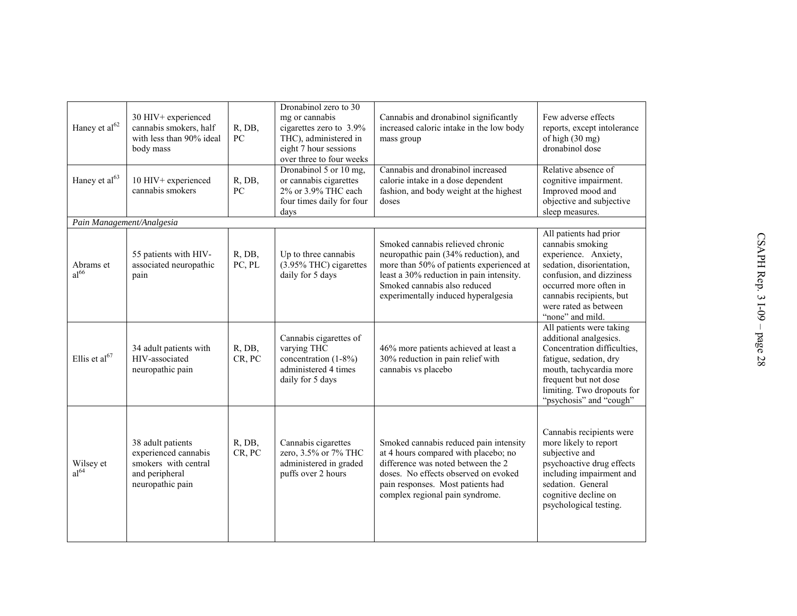| Haney et al <sup>62</sup>     | 30 HIV+ experienced<br>cannabis smokers, half<br>with less than 90% ideal<br>body mass                  | R, DB,<br>PC               | Dronabinol zero to 30<br>mg or cannabis<br>cigarettes zero to 3.9%<br>THC), administered in<br>eight 7 hour sessions<br>over three to four weeks | Cannabis and dronabinol significantly<br>increased caloric intake in the low body<br>mass group                                                                                                                                          | Few adverse effects<br>reports, except intolerance<br>of high (30 mg)<br>dronabinol dose                                                                                                                                       |
|-------------------------------|---------------------------------------------------------------------------------------------------------|----------------------------|--------------------------------------------------------------------------------------------------------------------------------------------------|------------------------------------------------------------------------------------------------------------------------------------------------------------------------------------------------------------------------------------------|--------------------------------------------------------------------------------------------------------------------------------------------------------------------------------------------------------------------------------|
| Haney et al <sup>63</sup>     | 10 HIV+ experienced<br>cannabis smokers                                                                 | R, DB,<br>${\rm P}{\bf C}$ | Dronabinol 5 or 10 mg,<br>or cannabis cigarettes<br>2% or 3.9% THC each<br>four times daily for four<br>days                                     | Cannabis and dronabinol increased<br>calorie intake in a dose dependent<br>fashion, and body weight at the highest<br>doses                                                                                                              | Relative absence of<br>cognitive impairment.<br>Improved mood and<br>objective and subjective<br>sleep measures.                                                                                                               |
| Pain Management/Analgesia     |                                                                                                         |                            |                                                                                                                                                  |                                                                                                                                                                                                                                          |                                                                                                                                                                                                                                |
| Abrams et<br>al <sup>66</sup> | 55 patients with HIV-<br>associated neuropathic<br>pain                                                 | R, DB,<br>PC, PL           | Up to three cannabis<br>(3.95% THC) cigarettes<br>daily for 5 days                                                                               | Smoked cannabis relieved chronic<br>neuropathic pain (34% reduction), and<br>more than 50% of patients experienced at<br>least a 30% reduction in pain intensity.<br>Smoked cannabis also reduced<br>experimentally induced hyperalgesia | All patients had prior<br>cannabis smoking<br>experience. Anxiety,<br>sedation, disorientation,<br>confusion, and dizziness<br>occurred more often in<br>cannabis recipients, but<br>were rated as between<br>"none" and mild. |
| Ellis et al <sup>67</sup>     | 34 adult patients with<br>HIV-associated<br>neuropathic pain                                            | R, DB,<br>CR, PC           | Cannabis cigarettes of<br>varying THC<br>concentration (1-8%)<br>administered 4 times<br>daily for 5 days                                        | 46% more patients achieved at least a<br>30% reduction in pain relief with<br>cannabis vs placebo                                                                                                                                        | All patients were taking<br>additional analgesics.<br>Concentration difficulties,<br>fatigue, sedation, dry<br>mouth, tachycardia more<br>frequent but not dose<br>limiting. Two dropouts for<br>"psychosis" and "cough"       |
| Wilsey et<br>al <sup>64</sup> | 38 adult patients<br>experienced cannabis<br>smokers with central<br>and peripheral<br>neuropathic pain | R, DB,<br>CR, PC           | Cannabis cigarettes<br>zero, 3.5% or 7% THC<br>administered in graded<br>puffs over 2 hours                                                      | Smoked cannabis reduced pain intensity<br>at 4 hours compared with placebo; no<br>difference was noted between the 2<br>doses. No effects observed on evoked<br>pain responses. Most patients had<br>complex regional pain syndrome.     | Cannabis recipients were<br>more likely to report<br>subjective and<br>psychoactive drug effects<br>including impairment and<br>sedation. General<br>cognitive decline on<br>psychological testing.                            |